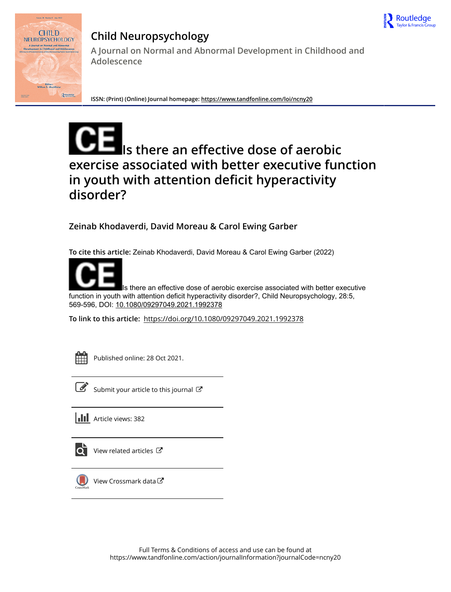



## **Child Neuropsychology**

**A Journal on Normal and Abnormal Development in Childhood and Adolescence**

**ISSN: (Print) (Online) Journal homepage:<https://www.tandfonline.com/loi/ncny20>**

# **Is there an effective dose of aerobic exercise associated with better executive function in youth with attention deficit hyperactivity disorder?**

**Zeinab Khodaverdi, David Moreau & Carol Ewing Garber**

**To cite this article:** Zeinab Khodaverdi, David Moreau & Carol Ewing Garber (2022)



Is there an effective dose of aerobic exercise associated with better executive function in youth with attention deficit hyperactivity disorder?, Child Neuropsychology, 28:5, 569-596, DOI: [10.1080/09297049.2021.1992378](https://www.tandfonline.com/action/showCitFormats?doi=10.1080/09297049.2021.1992378)

**To link to this article:** <https://doi.org/10.1080/09297049.2021.1992378>



Published online: 28 Oct 2021.



 $\overline{\mathscr{L}}$  [Submit your article to this journal](https://www.tandfonline.com/action/authorSubmission?journalCode=ncny20&show=instructions)  $\mathbb{Z}$ 



 $\overrightarrow{O}$  [View related articles](https://www.tandfonline.com/doi/mlt/10.1080/09297049.2021.1992378)  $\overrightarrow{C}$ 



[View Crossmark data](http://crossmark.crossref.org/dialog/?doi=10.1080/09297049.2021.1992378&domain=pdf&date_stamp=2021-10-28) C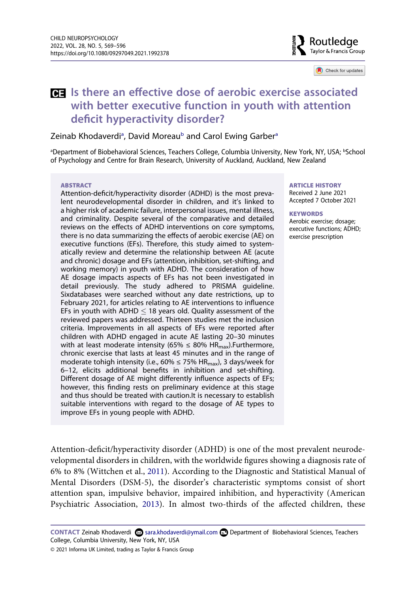

Check for updates

### **IS there an effective dose of aerobic exercise associated with better executive function in youth with attention deficit hyperactivity disorder?**

#### Zein[a](#page-1-0)b Khodaverdi<sup>a</sup>, David Moreau<sup>b</sup> and Carol Ewing Garber<sup>a</sup>

<span id="page-1-0"></span>aDepartment of Biobehavioral Sciences, Teachers College, Columbia University, New York, NY, USA; bSchool of Psychology and Centre for Brain Research, University of Auckland, Auckland, New Zealand

#### **ABSTRACT**

Attention-deficit/hyperactivity disorder (ADHD) is the most prevalent neurodevelopmental disorder in children, and it's linked to a higher risk of academic failure, interpersonal issues, mental illness, and criminality. Despite several of the comparative and detailed reviews on the effects of ADHD interventions on core symptoms, there is no data summarizing the effects of aerobic exercise (AE) on executive functions (EFs). Therefore, this study aimed to systematically review and determine the relationship between AE (acute and chronic) dosage and EFs (attention, inhibition, set-shifting, and working memory) in youth with ADHD. The consideration of how AE dosage impacts aspects of EFs has not been investigated in detail previously. The study adhered to PRISMA guideline. Sixdatabases were searched without any date restrictions, up to February 2021, for articles relating to AE interventions to influence EFs in youth with ADHD  $\leq$  18 years old. Quality assessment of the reviewed papers was addressed. Thirteen studies met the inclusion criteria. Improvements in all aspects of EFs were reported after children with ADHD engaged in acute AE lasting 20–30 minutes with at least moderate intensity (65%  $\leq$  80% HR<sub>max</sub>). Furthermore, chronic exercise that lasts at least 45 minutes and in the range of moderate tohigh intensity (i.e., 60%  $\leq$  75% HR<sub>max</sub>), 3 days/week for 6–12, elicits additional benefits in inhibition and set-shifting. Different dosage of AE might differently influence aspects of EFs; however, this finding rests on preliminary evidence at this stage and thus should be treated with caution.It is necessary to establish suitable interventions with regard to the dosage of AE types to improve EFs in young people with ADHD.

**ARTICLE HISTORY**  Received 2 June 2021 Accepted 7 October 2021

**KEYWORDS** 

Aerobic exercise; dosage; executive functions; ADHD; exercise prescription

<span id="page-1-2"></span>Attention-deficit/hyperactivity disorder (ADHD) is one of the most prevalent neurodevelopmental disorders in children, with the worldwide figures showing a diagnosis rate of 6% to 8% (Wittchen et al., [2011](#page-28-0)). According to the Diagnostic and Statistical Manual of Mental Disorders (DSM-5), the disorder's characteristic symptoms consist of short attention span, impulsive behavior, impaired inhibition, and hyperactivity (American Psychiatric Association, [2013\)](#page-23-0). In almost two-thirds of the affected children, these

<span id="page-1-1"></span>CONTACT Zeinab Khodaverdi **sara.khodaverdi@ymail.com <b>□** Department of Biobehavioral Sciences, Teachers College, Columbia University, New York, NY, USA

<sup>© 2021</sup> Informa UK Limited, trading as Taylor & Francis Group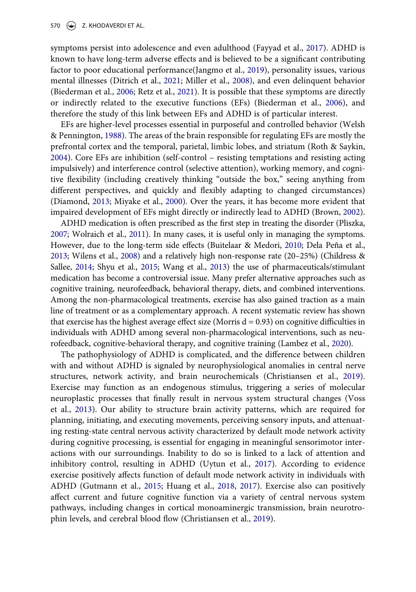<span id="page-2-9"></span><span id="page-2-7"></span><span id="page-2-6"></span>symptoms persist into adolescence and even adulthood (Fayyad et al., [2017](#page-24-0)). ADHD is known to have long-term adverse effects and is believed to be a significant contributing factor to poor educational performance(Jangmo et al., [2019\)](#page-25-0), personality issues, various mental illnesses (Ditrich et al., [2021](#page-24-1); Miller et al., [2008\)](#page-26-0), and even delinquent behavior (Biederman et al., [2006](#page-23-1); Retz et al., [2021](#page-27-0)). It is possible that these symptoms are directly or indirectly related to the executive functions (EFs) (Biederman et al., [2006](#page-23-1)), and therefore the study of this link between EFs and ADHD is of particular interest.

<span id="page-2-16"></span><span id="page-2-13"></span><span id="page-2-12"></span><span id="page-2-0"></span>EFs are higher-level processes essential in purposeful and controlled behavior (Welsh & Pennington, [1988](#page-28-1)). The areas of the brain responsible for regulating EFs are mostly the prefrontal cortex and the temporal, parietal, limbic lobes, and striatum (Roth & Saykin, [2004](#page-27-1)). Core EFs are inhibition (self-control – resisting temptations and resisting acting impulsively) and interference control (selective attention), working memory, and cognitive flexibility (including creatively thinking "outside the box," seeing anything from different perspectives, and quickly and flexibly adapting to changed circumstances) (Diamond, [2013;](#page-24-2) Miyake et al., [2000\)](#page-26-1). Over the years, it has become more evident that impaired development of EFs might directly or indirectly lead to ADHD (Brown, [2002](#page-23-2)).

<span id="page-2-18"></span><span id="page-2-17"></span><span id="page-2-11"></span><span id="page-2-5"></span><span id="page-2-3"></span><span id="page-2-2"></span><span id="page-2-1"></span>ADHD medication is often prescribed as the first step in treating the disorder (Pliszka, [2007;](#page-27-2) Wolraich et al., [2011\)](#page-28-2). In many cases, it is useful only in managing the symptoms. However, due to the long-term side effects (Buitelaar & Medori, [2010;](#page-23-3) Dela Peña et al., [2013;](#page-24-3) Wilens et al., [2008\)](#page-28-3) and a relatively high non-response rate (20–25%) (Childress & Sallee, [2014](#page-24-4); Shyu et al., [2015;](#page-27-3) Wang et al., [2013\)](#page-28-4) the use of pharmaceuticals/stimulant medication has become a controversial issue. Many prefer alternative approaches such as cognitive training, neurofeedback, behavioral therapy, diets, and combined interventions. Among the non-pharmacological treatments, exercise has also gained traction as a main line of treatment or as a complementary approach. A recent systematic review has shown that exercise has the highest average effect size (Morris  $d = 0.93$ ) on cognitive difficulties in individuals with ADHD among several non-pharmacological interventions, such as neurofeedback, cognitive-behavioral therapy, and cognitive training (Lambez et al., [2020](#page-25-1)).

<span id="page-2-15"></span><span id="page-2-14"></span><span id="page-2-10"></span><span id="page-2-8"></span><span id="page-2-4"></span>The pathophysiology of ADHD is complicated, and the difference between children with and without ADHD is signaled by neurophysiological anomalies in central nerve structures, network activity, and brain neurochemicals (Christiansen et al., [2019](#page-24-5)). Exercise may function as an endogenous stimulus, triggering a series of molecular neuroplastic processes that finally result in nervous system structural changes (Voss et al., [2013](#page-28-5)). Our ability to structure brain activity patterns, which are required for planning, initiating, and executing movements, perceiving sensory inputs, and attenuating resting-state central nervous activity characterized by default mode network activity during cognitive processing, is essential for engaging in meaningful sensorimotor interactions with our surroundings. Inability to do so is linked to a lack of attention and inhibitory control, resulting in ADHD (Uytun et al., [2017](#page-28-6)). According to evidence exercise positively affects function of default mode network activity in individuals with ADHD (Gutmann et al., [2015](#page-25-2); Huang et al., [2018](#page-25-3), [2017\)](#page-25-4). Exercise also can positively affect current and future cognitive function via a variety of central nervous system pathways, including changes in cortical monoaminergic transmission, brain neurotrophin levels, and cerebral blood flow (Christiansen et al., [2019\)](#page-24-5).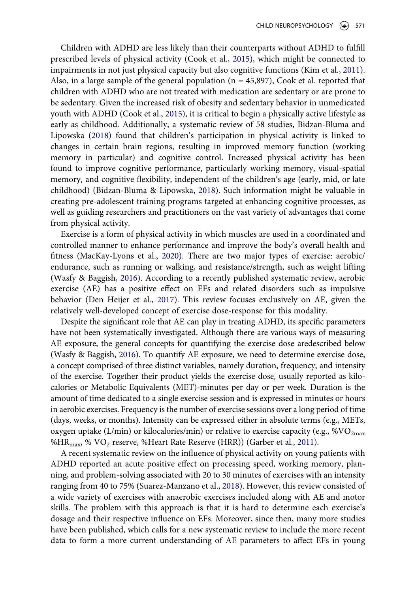<span id="page-3-4"></span><span id="page-3-1"></span>Children with ADHD are less likely than their counterparts without ADHD to fulfill prescribed levels of physical activity (Cook et al., [2015](#page-24-6)), which might be connected to impairments in not just physical capacity but also cognitive functions (Kim et al., [2011](#page-25-5)). Also, in a large sample of the general population ( $n = 45,897$ ), Cook et al. reported that children with ADHD who are not treated with medication are sedentary or are prone to be sedentary. Given the increased risk of obesity and sedentary behavior in unmedicated youth with ADHD (Cook et al., [2015](#page-24-6)), it is critical to begin a physically active lifestyle as early as childhood. Additionally, a systematic review of 58 studies, Bidzan-Bluma and Lipowska ([2018\)](#page-23-4) found that children's participation in physical activity is linked to changes in certain brain regions, resulting in improved memory function (working memory in particular) and cognitive control. Increased physical activity has been found to improve cognitive performance, particularly working memory, visual-spatial memory, and cognitive flexibility, independent of the children's age (early, mid, or late childhood) (Bidzan-Bluma & Lipowska, [2018](#page-23-4)). Such information might be valuable in creating pre-adolescent training programs targeted at enhancing cognitive processes, as well as guiding researchers and practitioners on the vast variety of advantages that come from physical activity.

<span id="page-3-5"></span><span id="page-3-0"></span>Exercise is a form of physical activity in which muscles are used in a coordinated and controlled manner to enhance performance and improve the body's overall health and fitness (MacKay-Lyons et al., [2020](#page-26-2)). There are two major types of exercise: aerobic/ endurance, such as running or walking, and resistance/strength, such as weight lifting (Wasfy & Baggish, [2016](#page-28-7)). According to a recently published systematic review, aerobic exercise (AE) has a positive effect on EFs and related disorders such as impulsive behavior (Den Heijer et al., [2017\)](#page-24-7). This review focuses exclusively on AE, given the relatively well-developed concept of exercise dose-response for this modality.

<span id="page-3-7"></span><span id="page-3-2"></span>Despite the significant role that AE can play in treating ADHD, its specific parameters have not been systematically investigated. Although there are various ways of measuring AE exposure, the general concepts for quantifying the exercise dose aredescribed below (Wasfy & Baggish, [2016\)](#page-28-7). To quantify AE exposure, we need to determine exercise dose, a concept comprised of three distinct variables, namely duration, frequency, and intensity of the exercise. Together their product yields the exercise dose, usually reported as kilocalories or Metabolic Equivalents (MET)-minutes per day or per week. Duration is the amount of time dedicated to a single exercise session and is expressed in minutes or hours in aerobic exercises. Frequency is the number of exercise sessions over a long period of time (days, weeks, or months). Intensity can be expressed either in absolute terms (e.g., METs, oxygen uptake (L/min) or kilocalories/min) or relative to exercise capacity (e.g.,  $\%VO_{2max}$ %HR<sub>max</sub>, % VO<sub>2</sub> reserve, %Heart Rate Reserve (HRR)) (Garber et al., [2011\)](#page-25-6).

<span id="page-3-6"></span><span id="page-3-3"></span>A recent systematic review on the influence of physical activity on young patients with ADHD reported an acute positive effect on processing speed, working memory, planning, and problem-solving associated with 20 to 30 minutes of exercises with an intensity ranging from 40 to 75% (Suarez-Manzano et al., [2018\)](#page-27-4). However, this review consisted of a wide variety of exercises with anaerobic exercises included along with AE and motor skills. The problem with this approach is that it is hard to determine each exercise's dosage and their respective influence on EFs. Moreover, since then, many more studies have been published, which calls for a new systematic review to include the more recent data to form a more current understanding of AE parameters to affect EFs in young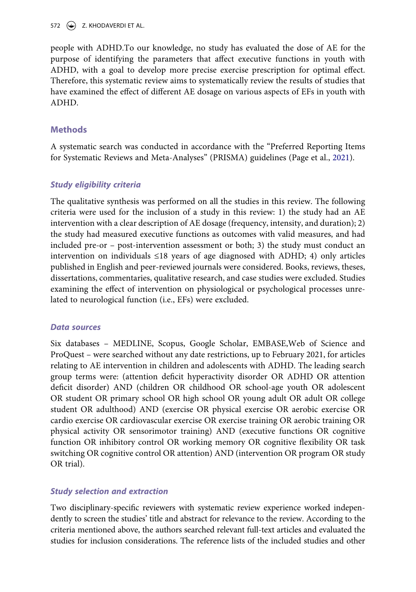572  $\left(\rightarrow\right)$  Z. KHODAVERDI ET AL.

people with ADHD.To our knowledge, no study has evaluated the dose of AE for the purpose of identifying the parameters that affect executive functions in youth with ADHD, with a goal to develop more precise exercise prescription for optimal effect. Therefore, this systematic review aims to systematically review the results of studies that have examined the effect of different AE dosage on various aspects of EFs in youth with ADHD.

#### **Methods**

<span id="page-4-0"></span>A systematic search was conducted in accordance with the "Preferred Reporting Items for Systematic Reviews and Meta-Analyses" (PRISMA) guidelines (Page et al., [2021\)](#page-27-5).

#### *Study eligibility criteria*

The qualitative synthesis was performed on all the studies in this review. The following criteria were used for the inclusion of a study in this review: 1) the study had an AE intervention with a clear description of AE dosage (frequency, intensity, and duration); 2) the study had measured executive functions as outcomes with valid measures, and had included pre-or – post-intervention assessment or both; 3) the study must conduct an intervention on individuals  $\leq 18$  years of age diagnosed with ADHD; 4) only articles published in English and peer-reviewed journals were considered. Books, reviews, theses, dissertations, commentaries, qualitative research, and case studies were excluded. Studies examining the effect of intervention on physiological or psychological processes unrelated to neurological function (i.e., EFs) were excluded.

#### *Data sources*

Six databases – MEDLINE, Scopus, Google Scholar, EMBASE,Web of Science and ProQuest – were searched without any date restrictions, up to February 2021, for articles relating to AE intervention in children and adolescents with ADHD. The leading search group terms were: (attention deficit hyperactivity disorder OR ADHD OR attention deficit disorder) AND (children OR childhood OR school-age youth OR adolescent OR student OR primary school OR high school OR young adult OR adult OR college student OR adulthood) AND (exercise OR physical exercise OR aerobic exercise OR cardio exercise OR cardiovascular exercise OR exercise training OR aerobic training OR physical activity OR sensorimotor training) AND (executive functions OR cognitive function OR inhibitory control OR working memory OR cognitive flexibility OR task switching OR cognitive control OR attention) AND (intervention OR program OR study OR trial).

#### *Study selection and extraction*

Two disciplinary-specific reviewers with systematic review experience worked independently to screen the studies' title and abstract for relevance to the review. According to the criteria mentioned above, the authors searched relevant full-text articles and evaluated the studies for inclusion considerations. The reference lists of the included studies and other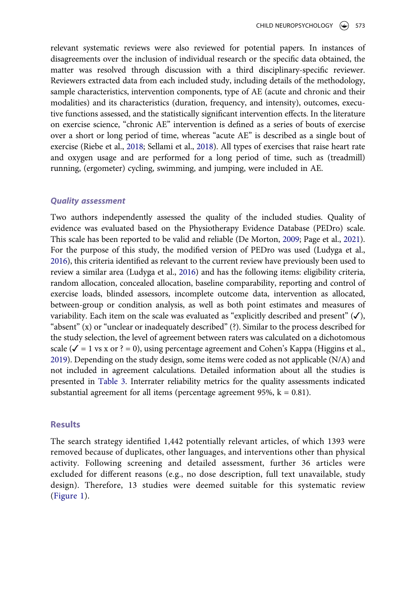relevant systematic reviews were also reviewed for potential papers. In instances of disagreements over the inclusion of individual research or the specific data obtained, the matter was resolved through discussion with a third disciplinary-specific reviewer. Reviewers extracted data from each included study, including details of the methodology, sample characteristics, intervention components, type of AE (acute and chronic and their modalities) and its characteristics (duration, frequency, and intensity), outcomes, executive functions assessed, and the statistically significant intervention effects. In the literature on exercise science, "chronic AE" intervention is defined as a series of bouts of exercise over a short or long period of time, whereas "acute AE" is described as a single bout of exercise (Riebe et al., [2018;](#page-27-6) Sellami et al., [2018\)](#page-27-7). All types of exercises that raise heart rate and oxygen usage and are performed for a long period of time, such as (treadmill) running, (ergometer) cycling, swimming, and jumping, were included in AE.

#### <span id="page-5-3"></span>*Quality assessment*

<span id="page-5-2"></span><span id="page-5-0"></span>Two authors independently assessed the quality of the included studies. Quality of evidence was evaluated based on the Physiotherapy Evidence Database (PEDro) scale. This scale has been reported to be valid and reliable (De Morton, [2009](#page-24-8); Page et al., [2021](#page-27-5)). For the purpose of this study, the modified version of PEDro was used (Ludyga et al., [2016\)](#page-26-3), this criteria identified as relevant to the current review have previously been used to review a similar area (Ludyga et al., [2016\)](#page-26-3) and has the following items: eligibility criteria, random allocation, concealed allocation, baseline comparability, reporting and control of exercise loads, blinded assessors, incomplete outcome data, intervention as allocated, between-group or condition analysis, as well as both point estimates and measures of variability. Each item on the scale was evaluated as "explicitly described and present"  $(\checkmark)$ , "absent" (x) or "unclear or inadequately described" (?). Similar to the process described for the study selection, the level of agreement between raters was calculated on a dichotomous scale ( $\checkmark$  = 1 vs x or ? = 0), using percentage agreement and Cohen's Kappa (Higgins et al., [2019\)](#page-25-7). Depending on the study design, some items were coded as not applicable (N/A) and not included in agreement calculations. Detailed information about all the studies is presented in [Table 3.](#page-18-0) Interrater reliability metrics for the quality assessments indicated substantial agreement for all items (percentage agreement 95%,  $k = 0.81$ ).

#### <span id="page-5-1"></span>**Results**

The search strategy identified 1,442 potentially relevant articles, of which 1393 were removed because of duplicates, other languages, and interventions other than physical activity. Following screening and detailed assessment, further 36 articles were excluded for different reasons (e.g., no dose description, full text unavailable, study design). Therefore, 13 studies were deemed suitable for this systematic review ([Figure 1](#page-6-0)).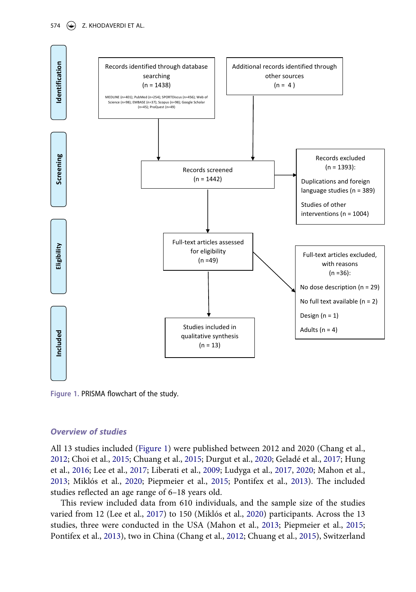<span id="page-6-0"></span>

**Figure 1.** PRISMA flowchart of the study.

#### *Overview of studies*

<span id="page-6-3"></span><span id="page-6-2"></span>All 13 studies included [\(Figure 1](#page-6-0)) were published between 2012 and 2020 (Chang et al., [2012](#page-24-9); Choi et al., [2015](#page-24-10); Chuang et al., [2015](#page-24-11); Durgut et al., [2020](#page-24-12); Geladé et al., [2017;](#page-25-8) Hung et al., [2016;](#page-25-9) Lee et al., [2017](#page-25-10); Liberati et al., [2009](#page-26-4); Ludyga et al., [2017](#page-26-5), [2020;](#page-26-6) Mahon et al., [2013](#page-26-7); Miklós et al., [2020;](#page-26-8) Piepmeier et al., [2015;](#page-27-8) Pontifex et al., [2013](#page-27-9)). The included studies reflected an age range of 6–18 years old.

<span id="page-6-5"></span><span id="page-6-4"></span><span id="page-6-1"></span>This review included data from 610 individuals, and the sample size of the studies varied from 12 (Lee et al., [2017\)](#page-25-10) to 150 (Miklós et al., [2020\)](#page-26-8) participants. Across the 13 studies, three were conducted in the USA (Mahon et al., [2013;](#page-26-7) Piepmeier et al., [2015;](#page-27-8) Pontifex et al., [2013](#page-27-9)), two in China (Chang et al., [2012;](#page-24-9) Chuang et al., [2015](#page-24-11)), Switzerland

574  $\left(\rightarrow\right)$  Z. KHODAVERDI ET AL.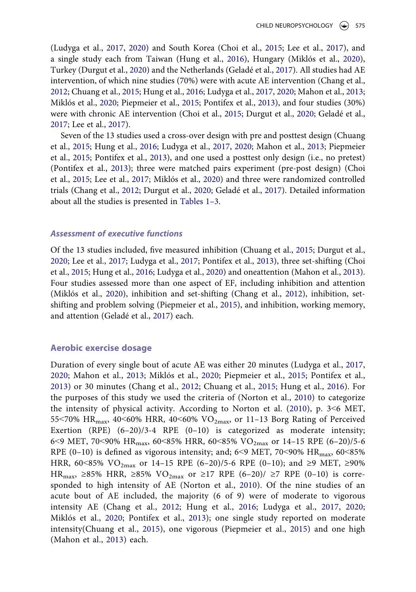(Ludyga et al., [2017](#page-26-5), [2020](#page-26-6)) and South Korea (Choi et al., [2015;](#page-24-10) Lee et al., [2017](#page-25-10)), and a single study each from Taiwan (Hung et al., [2016\)](#page-25-9), Hungary (Miklós et al., [2020](#page-26-8)), Turkey (Durgut et al., [2020\)](#page-24-12) and the Netherlands (Geladé et al., [2017](#page-25-8)). All studies had AE intervention, of which nine studies (70%) were with acute AE intervention (Chang et al., [2012](#page-24-9); Chuang et al., [2015](#page-24-11); Hung et al., [2016;](#page-25-9) Ludyga et al., [2017,](#page-26-5) [2020;](#page-26-6) Mahon et al., [2013;](#page-26-7) Miklós et al., [2020](#page-26-8); Piepmeier et al., [2015](#page-27-8); Pontifex et al., [2013](#page-27-9)), and four studies (30%) were with chronic AE intervention (Choi et al., [2015](#page-24-10); Durgut et al., [2020](#page-24-12); Geladé et al., [2017](#page-25-8); Lee et al., [2017\)](#page-25-10).

Seven of the 13 studies used a cross-over design with pre and posttest design (Chuang et al., [2015](#page-24-11); Hung et al., [2016](#page-25-9); Ludyga et al., [2017,](#page-26-5) [2020](#page-26-6); Mahon et al., [2013;](#page-26-7) Piepmeier et al., [2015;](#page-27-8) Pontifex et al., [2013\)](#page-27-9), and one used a posttest only design (i.e., no pretest) (Pontifex et al., [2013\)](#page-27-9); three were matched pairs experiment (pre-post design) (Choi et al., [2015](#page-24-10); Lee et al., [2017;](#page-25-10) Miklós et al., [2020](#page-26-8)) and three were randomized controlled trials (Chang et al., [2012;](#page-24-9) Durgut et al., [2020](#page-24-12); Geladé et al., [2017](#page-25-8)). Detailed information about all the studies is presented in [Tables 1–3](#page-8-0).

#### *Assessment of executive functions*

Of the 13 studies included, five measured inhibition (Chuang et al., [2015](#page-24-11); Durgut et al., [2020](#page-24-12); Lee et al., [2017](#page-25-10); Ludyga et al., [2017;](#page-26-5) Pontifex et al., [2013\)](#page-27-9), three set-shifting (Choi et al., [2015;](#page-24-10) Hung et al., [2016](#page-25-9); Ludyga et al., [2020\)](#page-26-6) and oneattention (Mahon et al., [2013](#page-26-7)). Four studies assessed more than one aspect of EF, including inhibition and attention (Miklós et al., [2020\)](#page-26-8), inhibition and set-shifting (Chang et al., [2012\)](#page-24-9), inhibition, setshifting and problem solving (Piepmeier et al., [2015](#page-27-8)), and inhibition, working memory, and attention (Geladé et al., [2017\)](#page-25-8) each.

#### **Aerobic exercise dosage**

<span id="page-7-0"></span>Duration of every single bout of acute AE was either 20 minutes (Ludyga et al., [2017,](#page-26-5) [2020;](#page-26-6) Mahon et al., [2013;](#page-26-7) Miklós et al., [2020;](#page-26-8) Piepmeier et al., [2015](#page-27-8); Pontifex et al., [2013\)](#page-27-9) or 30 minutes (Chang et al., [2012;](#page-24-9) Chuang et al., [2015;](#page-24-11) Hung et al., [2016\)](#page-25-9). For the purposes of this study we used the criteria of (Norton et al., [2010\)](#page-27-10) to categorize the intensity of physical activity. According to Norton et al. [\(2010](#page-27-10)), p. 3˂6 MET, 55<70%  $HR_{max}$ , 40<60% HRR, 40<60% VO<sub>2max</sub>, or 11-13 Borg Rating of Perceived Exertion (RPE) (6–20)/3-4 RPE (0–10) is categorized as moderate intensity; 6<9 MET, 70<90% HR<sub>max</sub>, 60<85% HRR, 60<85% VO<sub>2max</sub> or 14-15 RPE (6-20)/5-6 RPE (0–10) is defined as vigorous intensity; and;  $6<9$  MET,  $70<90\%$  HR<sub>max</sub>,  $60<85\%$ HRR, 60<85% VO<sub>2max</sub> or 14-15 RPE (6-20)/5-6 RPE (0-10); and ≥9 MET, ≥90% HR<sub>max</sub>, ≥85% HRR, ≥85% VO<sub>2max</sub> or ≥17 RPE (6–20)/ ≥7 RPE (0–10) is corresponded to high intensity of AE (Norton et al., [2010\)](#page-27-10). Of the nine studies of an acute bout of AE included, the majority (6 of 9) were of moderate to vigorous intensity AE (Chang et al., [2012;](#page-24-9) Hung et al., [2016;](#page-25-9) Ludyga et al., [2017,](#page-26-5) [2020;](#page-26-6) Miklós et al., [2020](#page-26-8); Pontifex et al., [2013](#page-27-9)); one single study reported on moderate intensity(Chuang et al., [2015\)](#page-24-11), one vigorous (Piepmeier et al., [2015\)](#page-27-8) and one high (Mahon et al., [2013\)](#page-26-7) each.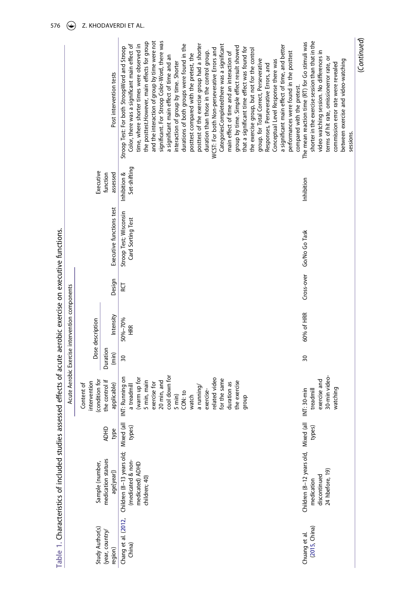<span id="page-8-0"></span>

|                                |                                                                                               |                     |                                                                                                                                                                                                                                              |                   | Acute Aerobic Exercise intervention components |        |                                             |                              |                                                                                                                                                                                                                                                                                                                                                                                                                                                                                                                                                                                                                                                                                                                                                                                                                                                                                                                                                                                                                                                                                                                      |
|--------------------------------|-----------------------------------------------------------------------------------------------|---------------------|----------------------------------------------------------------------------------------------------------------------------------------------------------------------------------------------------------------------------------------------|-------------------|------------------------------------------------|--------|---------------------------------------------|------------------------------|----------------------------------------------------------------------------------------------------------------------------------------------------------------------------------------------------------------------------------------------------------------------------------------------------------------------------------------------------------------------------------------------------------------------------------------------------------------------------------------------------------------------------------------------------------------------------------------------------------------------------------------------------------------------------------------------------------------------------------------------------------------------------------------------------------------------------------------------------------------------------------------------------------------------------------------------------------------------------------------------------------------------------------------------------------------------------------------------------------------------|
| Study Author(s)                | Sample (number,                                                                               |                     | (condition for<br>intervention<br>Content of                                                                                                                                                                                                 |                   | Dose description                               |        |                                             | Executive                    |                                                                                                                                                                                                                                                                                                                                                                                                                                                                                                                                                                                                                                                                                                                                                                                                                                                                                                                                                                                                                                                                                                                      |
| (year, country/<br>region)     | medication statues<br>age[year])                                                              | <b>ADHD</b><br>type | the control if<br>applicable)                                                                                                                                                                                                                | Duration<br>(min) | Intensity                                      | Design | Executive functions test                    | function<br>assessed         | Post intervention tests                                                                                                                                                                                                                                                                                                                                                                                                                                                                                                                                                                                                                                                                                                                                                                                                                                                                                                                                                                                                                                                                                              |
| Chang et al. (2012,<br>China)  | Children (8-13 years old; Mixed (all<br>(medicated & non-<br>medicated) ADHD<br>children; 40) | types)              | cool down for<br>(warm up for<br>elated video<br>NT: Running on<br>for the same<br>5 min, main<br>20 min, and<br>the exercise<br>duration as<br>exercise for<br>a treadmill<br>a running<br>exercise-<br>CON: to<br>5 min)<br>watch<br>qroup | 30                | 50%-70%<br>HRR<br>H                            | ĮЗ     | Stroop Test; Wisconsin<br>Card Sorting Test | Set-shifting<br>Inhibition & | significant. For Stroop Color-Word, there was<br>the posttest.However, main effects for group<br>and the interaction of group by time were not<br>durations of both groups were found in the<br>time, where shorter times were observed in<br>posttest of the exercise group had a shorter<br>Color, there was a significant main effect of<br>Categories Completed there was a significant<br>a significant main effect of time, and better<br>group by time. Simple effect result showed<br>Stroop Test: For both StroopWord and Stroop<br>that a significant time effect was found for<br>WCST: For both Non-perseverative Errors and<br>the exercise group, but not for the control<br>duration than those in the control group.<br>main effect of time and an interaction of<br>performances were found in the posttest<br>posttest compared with the pretest, the<br>a significant main effect of time and an<br>group. for Total Correct, Perseverative<br>Conceptual Level Response there was<br>interaction of group by time. Shorter<br>Responses, Perseverative Errors, and<br>compared with the pretest. |
| (2015, China)<br>Chuang et al. | Children (8-12 years old, Mixed (all<br>24 hbefore, 19)<br>discontinued<br>medication         | types)              | 30-min video-<br>exercise and<br>watching<br>treadmill<br>NT: 30-min                                                                                                                                                                         | $\overline{30}$   | 60% of HRR                                     |        | Cross-over Go/No Go Task                    | Inhibition                   | shorter in the exercise session than that in the<br>The mean reaction time (RT) for Go stimuli was<br>video watching session. No differences in<br>terms of hit rate, omissionerror rate, or<br>between exercise and video-watching<br>commission error rate were revealed<br>sessions.                                                                                                                                                                                                                                                                                                                                                                                                                                                                                                                                                                                                                                                                                                                                                                                                                              |

(*Continued*)

(Continued)

Table 1. Characteristics of included studies assessed effects of acute aerobic exercise on executive functions. **Table 1.** Characteristics of included studies assessed effects of acute aerobic exercise on executive functions.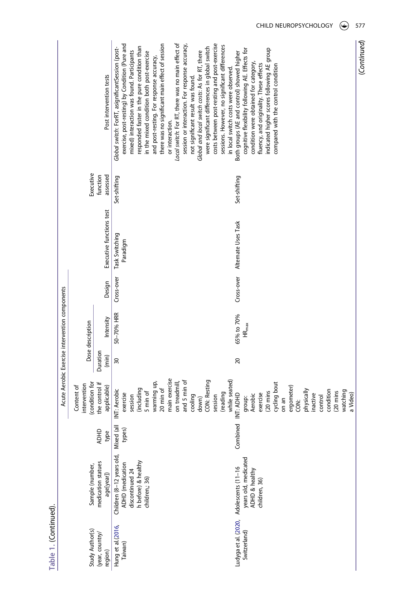|                                                |                                            | Post intervention tests                       | there was no significant main effect of session<br>costs between post-resting and post-exercise<br>Local switch: For RT, there was no main effect of<br>exercise, post-resting) by Condition (Pure and<br>session or interaction. For response accuracy,<br>sessions. However, no significant differences<br>responded faster in the pure condition than<br>were significant differences in global switch<br>Global switch: ForRT, asignificantSession (post-<br>indicated higher scores following AE group<br>cognitive flexibility following AE. Effects for<br>mixed) interaction was found. Participants<br>Global and local switch costs: As for RT, there<br>Both groups (AE and control) showed higher<br>in the mixed condition both post-exercise<br>and post-resting. For response accuracy,<br>condition were obtained for category,<br>fluency, and originality. These effects<br>compared with the control condition<br>in local switch costs were observed<br>not significant result was found.<br>or interaction. |
|------------------------------------------------|--------------------------------------------|-----------------------------------------------|----------------------------------------------------------------------------------------------------------------------------------------------------------------------------------------------------------------------------------------------------------------------------------------------------------------------------------------------------------------------------------------------------------------------------------------------------------------------------------------------------------------------------------------------------------------------------------------------------------------------------------------------------------------------------------------------------------------------------------------------------------------------------------------------------------------------------------------------------------------------------------------------------------------------------------------------------------------------------------------------------------------------------------|
|                                                | Executive                                  | function<br>assessed                          | Set-shifting<br>Set-shifting                                                                                                                                                                                                                                                                                                                                                                                                                                                                                                                                                                                                                                                                                                                                                                                                                                                                                                                                                                                                     |
|                                                |                                            | Executive functions test                      | Cross-over Alternate Uses Task<br>Task Switching<br>Paradigm                                                                                                                                                                                                                                                                                                                                                                                                                                                                                                                                                                                                                                                                                                                                                                                                                                                                                                                                                                     |
|                                                |                                            | Design                                        | Cross-over                                                                                                                                                                                                                                                                                                                                                                                                                                                                                                                                                                                                                                                                                                                                                                                                                                                                                                                                                                                                                       |
| Acute Aerobic Exercise intervention components | Dose description                           | Intensity                                     | 50-70% HRR<br>65% to 70%<br>$\mathsf{HR}_{\mathsf{max}}$                                                                                                                                                                                                                                                                                                                                                                                                                                                                                                                                                                                                                                                                                                                                                                                                                                                                                                                                                                         |
|                                                |                                            | Duration<br>(min)                             | $\approx$<br>$\overline{20}$                                                                                                                                                                                                                                                                                                                                                                                                                                                                                                                                                                                                                                                                                                                                                                                                                                                                                                                                                                                                     |
|                                                | condition for<br>ntervention<br>Content of | the control if<br>applicable)                 | main exercise<br>while seated)<br>and 5 min of<br>CON: Resting<br>warming up,<br>on treadmill,<br>cycling bout<br>ergometer)<br>20 min of<br>including<br>NT: Aerobic<br>physically<br>condition<br>watching<br>(20 mins<br>5 min of<br>(20 mins<br>(reading<br>exercise<br>INT: ADHD<br>exercise<br>nactive<br><b>Aerobic</b><br>a Video)<br>cooling<br>session<br>session<br>control<br>group:<br>down)<br>on an<br>ğ                                                                                                                                                                                                                                                                                                                                                                                                                                                                                                                                                                                                          |
|                                                |                                            | <b>ADHD</b><br>type                           | Combined<br>types)                                                                                                                                                                                                                                                                                                                                                                                                                                                                                                                                                                                                                                                                                                                                                                                                                                                                                                                                                                                                               |
|                                                | Sample (number,                            | medication statues<br>age[year])              | Children (8-12 years old, Mixed (all<br>years old, medicated<br>ADHD & healthy<br>children, 36)<br>h before) & healthy<br>ADHD (medication<br>Ludyga et al. (2020, Adolescents (11-16<br>discontinued 24<br>children, 36)                                                                                                                                                                                                                                                                                                                                                                                                                                                                                                                                                                                                                                                                                                                                                                                                        |
|                                                |                                            | Study Author(s)<br>(year, country/<br>region) | Hung et al.(2016,<br>Switzerland)<br>Taiwan)                                                                                                                                                                                                                                                                                                                                                                                                                                                                                                                                                                                                                                                                                                                                                                                                                                                                                                                                                                                     |

CHILD NEUROPSYCHOLOGY  $\circledast$  577

(Continued) (*Continued*)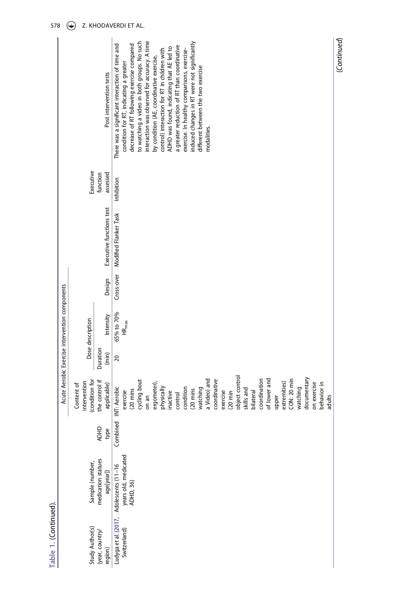|                                                |                                              | Post intervention tests          | interaction was observed for accuracy. A time<br>to watching a video in both groups. No such<br>induced changes in RT were not significantly<br>There was a significant interaction of time and<br>decrease of RT following exercise compared<br>a greater reduction of RT than coordinative<br>ADHD was found, indicating that AE led to<br>exercise. In healthy comparisons, exercise-<br>control) interaction for RT in children with<br>by condition (AE, coordinative exercise,<br>condition for RT, indicating a greater<br>different between the two exercise<br>modalities. |
|------------------------------------------------|----------------------------------------------|----------------------------------|-------------------------------------------------------------------------------------------------------------------------------------------------------------------------------------------------------------------------------------------------------------------------------------------------------------------------------------------------------------------------------------------------------------------------------------------------------------------------------------------------------------------------------------------------------------------------------------|
|                                                | Executive                                    | function<br>assessed             | Inhibition                                                                                                                                                                                                                                                                                                                                                                                                                                                                                                                                                                          |
|                                                |                                              | Executive functions test         | Modified Flanker Task                                                                                                                                                                                                                                                                                                                                                                                                                                                                                                                                                               |
|                                                |                                              | Design                           | Cross-over                                                                                                                                                                                                                                                                                                                                                                                                                                                                                                                                                                          |
| Acute Aerobic Exercise intervention components | Dose description                             | Intensity                        | 65% to 70%<br>$HR_{max}$                                                                                                                                                                                                                                                                                                                                                                                                                                                                                                                                                            |
|                                                |                                              | Duration<br>(min)                | 20                                                                                                                                                                                                                                                                                                                                                                                                                                                                                                                                                                                  |
| I                                              | (condition for<br>intervention<br>Content of | the control if<br>applicable)    | object control<br>documentary<br>coordination<br>CON: 20 min<br>a Video) and<br>cycling bout<br>of lower and<br>coordinative<br>extremities)<br>on exercise<br>ergometer),<br>behavior in<br>physically<br>condition<br>watching<br>Combined INT: Aerobic<br>watching<br>skills and<br>(20 mins<br>$(20 \text{ mins})$<br>exercise<br>exercise<br>bilateral<br>$(20 \text{ min})$<br>inactive<br>control<br>on an<br>upper<br>adults                                                                                                                                                |
|                                                |                                              | ADHD<br>type                     |                                                                                                                                                                                                                                                                                                                                                                                                                                                                                                                                                                                     |
|                                                | Sample (number,                              | medication statues<br>age[year]) | Ludyga et al. (2017,   Adolescents (11–16<br>Switzerland)                    years old, medicated<br>ADHD, 36)                                                                                                                                                                                                                                                                                                                                                                                                                                                                      |
|                                                | Study Author(s)                              | (year, country/<br>region)       |                                                                                                                                                                                                                                                                                                                                                                                                                                                                                                                                                                                     |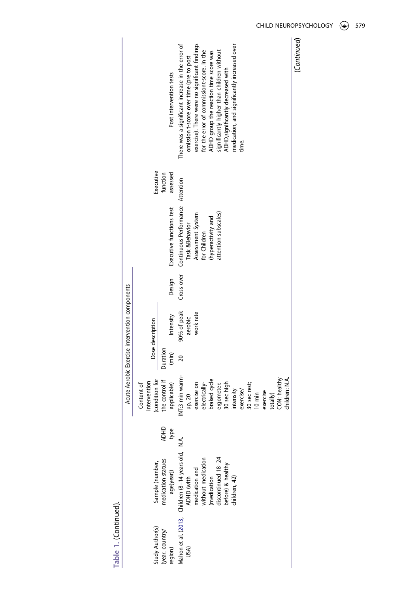|                                                |                                              | Post intervention tests          | There was a significant increase in the error of<br>exercise). There were no significant findings<br>medication, and significantly increased over<br>for the error of commissiont-score. In the<br>significantly higher than children without<br>ADHD group the reaction time score was<br>omission t-score over time (pre to post<br>ADHD, significantly decreased with<br>time. | (Continued) |
|------------------------------------------------|----------------------------------------------|----------------------------------|-----------------------------------------------------------------------------------------------------------------------------------------------------------------------------------------------------------------------------------------------------------------------------------------------------------------------------------------------------------------------------------|-------------|
|                                                | Executive                                    | function<br>assessed             |                                                                                                                                                                                                                                                                                                                                                                                   |             |
|                                                |                                              | Executive functions test         | Continuous Performance Attention<br>attention subscales)<br>Assessment System<br>(hyperactivity and<br>Task &Behavior<br>for Children                                                                                                                                                                                                                                             |             |
|                                                |                                              | Design                           | Cross over                                                                                                                                                                                                                                                                                                                                                                        |             |
| Acute Aerobic Exercise intervention components | Dose description                             | Intensity                        | 90% of peak<br>work rate<br>aerobic                                                                                                                                                                                                                                                                                                                                               |             |
|                                                |                                              | Duration<br>$(\min)$             | $\approx$                                                                                                                                                                                                                                                                                                                                                                         |             |
|                                                | (condition for<br>intervention<br>Content of | he control if<br>applicable)     | INT:3 min warm-<br>CON: healthy<br>children: N.A.<br>braked cycle<br>exercise on<br>electrically-<br>30 sec high<br>30 sec rest;<br>ergometer:<br>intensity<br>exercise/<br>exercise<br>$10 \text{ min}$<br>up, 20<br>totally)                                                                                                                                                    |             |
|                                                |                                              | <b>ADHD</b><br>type              |                                                                                                                                                                                                                                                                                                                                                                                   |             |
|                                                | Sample (number,                              | medication statues<br>age[year]) | Mahon et al. (2013, Children (8-14 years old, N.A.<br>discontinued 18-24<br>medication and<br>without medication<br>before) & healthy<br>(medication<br>ADHD (with<br>:hildren, 42)                                                                                                                                                                                               |             |
|                                                | Study Author(s)                              | (year, country/<br>region)       | USA)                                                                                                                                                                                                                                                                                                                                                                              |             |

CHILD NEUROPSYCHOLOGY (C) 579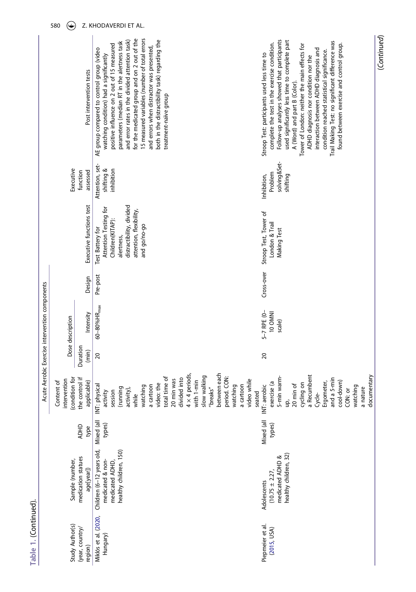|                       |                                                |                                              | Post intervention tests          | 15 measured variables (number of total errors<br>for the medicated group and on 2 out of the<br>both in the distractibility task) regarding the<br>and error rates in the divided attention task)<br>parameters (median RT in the alertness task<br>positive influence on 2 out of 15 measured<br>and errors when distractor was presented,<br>AE group compared to control group (video<br>watching condition) had a significantly<br>treatment-naïve group | Follow-up analyses showed that participants<br>used significantly less time to complete part<br>Trail Making Test: no significant difference was<br>complete the test in the exercise condition.<br>found between exercise and control group.<br>Tower of London: neither the main effects for<br>interaction between ADHD diagnosis and<br>condition reached statistical significance.<br>Stroop Test: participants used less time to<br>ADHD diagnosis nor condition nor the<br>A (Word) and part B (Color). |
|-----------------------|------------------------------------------------|----------------------------------------------|----------------------------------|--------------------------------------------------------------------------------------------------------------------------------------------------------------------------------------------------------------------------------------------------------------------------------------------------------------------------------------------------------------------------------------------------------------------------------------------------------------|----------------------------------------------------------------------------------------------------------------------------------------------------------------------------------------------------------------------------------------------------------------------------------------------------------------------------------------------------------------------------------------------------------------------------------------------------------------------------------------------------------------|
|                       |                                                | Executive                                    | function<br>assessed             | Attention, set-<br>shifting &<br>inhibition                                                                                                                                                                                                                                                                                                                                                                                                                  | solving&Set-<br>Problem<br>shifting<br>Inhibition,                                                                                                                                                                                                                                                                                                                                                                                                                                                             |
|                       |                                                |                                              | Executive functions test         | distractibility, divided<br>Attention Testing for<br>attention, flexibility,<br>Children(KITAP):<br>and go/no-go<br>Test Battery for<br>alertness,                                                                                                                                                                                                                                                                                                           | Stroop Test, Tower of<br>London & Trail<br>Making Test                                                                                                                                                                                                                                                                                                                                                                                                                                                         |
|                       |                                                |                                              | Design                           | Pre-post                                                                                                                                                                                                                                                                                                                                                                                                                                                     | Cross-over                                                                                                                                                                                                                                                                                                                                                                                                                                                                                                     |
|                       | Acute Aerobic Exercise intervention components | Dose description                             | Intensity                        | $60 - 80\%$ HR <sub>max</sub>                                                                                                                                                                                                                                                                                                                                                                                                                                | 5-7 RPE (0-<br>10 OMNI<br>scale)                                                                                                                                                                                                                                                                                                                                                                                                                                                                               |
|                       |                                                |                                              | Duration<br>(min)                | $20$                                                                                                                                                                                                                                                                                                                                                                                                                                                         | $\overline{20}$                                                                                                                                                                                                                                                                                                                                                                                                                                                                                                |
|                       |                                                | (condition for<br>intervention<br>Content of | the control if<br>applicable)    | between each<br>$4 \times 4$ periods,<br>slow walking<br>total time of<br>divided into<br>period. CON:<br>20 min was<br>video while<br>with 1-min<br>video: the<br>a cartoon<br>a cartoon<br>NT: physical<br>watching<br>watching<br>breaks"<br>(running<br>activity),<br>activity<br>session<br>seated<br>while                                                                                                                                             | a Recumbent<br>documentary<br>5-min warm-<br>and a 5-min<br>cool-down)<br>Ergometer,<br>exercise (a<br>cycling on<br>20 min of<br>NT: aerobic<br>watching<br>a nature<br>CON: or<br>Cycle-<br>g,                                                                                                                                                                                                                                                                                                               |
|                       |                                                |                                              | <b>ADHD</b><br>type              | Mixed (all<br>types)                                                                                                                                                                                                                                                                                                                                                                                                                                         | Mixed (all<br>types)                                                                                                                                                                                                                                                                                                                                                                                                                                                                                           |
|                       |                                                | Sample (number,                              | medication statues<br>age[year]) | Children (6-12 years old,<br>healthy children, 150)<br>medicated ADHD,<br>medicated & non                                                                                                                                                                                                                                                                                                                                                                    | healthy children, 32)<br>medicated ADHD &<br>$(10.75 \pm 2.27,$<br>Adolescents                                                                                                                                                                                                                                                                                                                                                                                                                                 |
| Table 1. (Continued). |                                                | Study Author(s)                              | (year, country/<br>region)       | Miklós et al. (2020,<br>Hungary)                                                                                                                                                                                                                                                                                                                                                                                                                             | Piepmeier et al.<br>(2015, USA)                                                                                                                                                                                                                                                                                                                                                                                                                                                                                |

(Continued) (*Continued*)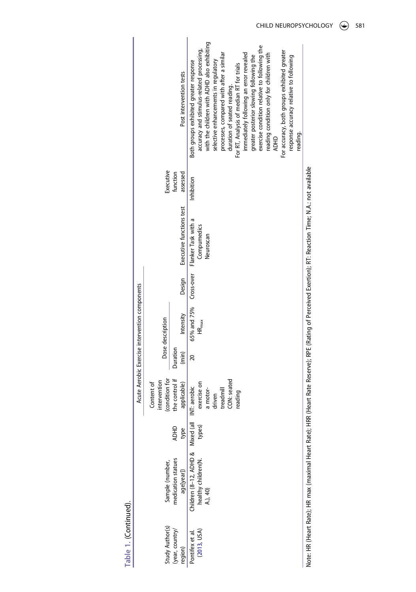|                               |                                                                             |                     | I                                                                                        |                   | Acute Aerobic Exercise intervention components |            |                                                 |                      |                                                                                                                                                                                                                                                                                                                                                                                                                                                                                                                                                                                              |
|-------------------------------|-----------------------------------------------------------------------------|---------------------|------------------------------------------------------------------------------------------|-------------------|------------------------------------------------|------------|-------------------------------------------------|----------------------|----------------------------------------------------------------------------------------------------------------------------------------------------------------------------------------------------------------------------------------------------------------------------------------------------------------------------------------------------------------------------------------------------------------------------------------------------------------------------------------------------------------------------------------------------------------------------------------------|
| Study Author(s)               | Sample (number,                                                             |                     | condition for<br>intervention<br>Content of                                              |                   | Dose description                               |            |                                                 | Executive            |                                                                                                                                                                                                                                                                                                                                                                                                                                                                                                                                                                                              |
| year, country/<br>eqion)      | medication statues<br>age[year])                                            | <b>ADHD</b><br>type | the control if<br>applicable)                                                            | Duration<br>(min) | Intensity                                      | Design     | Executive functions test                        | assessed<br>function | Post intervention tests                                                                                                                                                                                                                                                                                                                                                                                                                                                                                                                                                                      |
| (2013, USA)<br>ontifex et al. | Children (8-12, ADHD & Mixed (all<br>healthy children(N. types)<br>A.), 40) |                     | CON: seated<br>exercise on<br>INT: aerobic<br>a motor-<br>treadmill<br>reading<br>driven | 20                | 65% and 75%<br>$HR_{max}$                      | Cross-over | Flanker Task with a<br>Compumedics<br>Neuroscan | Inhibition           | with the children with ADHD also exhibiting<br>exercise condition relative to following the<br>accuracy and stimulus-related processing,<br>For accuracy, both groups exhibited greater<br>immediately following an error revealed<br>reading condition only for children with<br>processes, compared with after a similar<br>greater posterior slowing following the<br>response accuracy relative to following<br>selective enhancements in regulatory<br>Both groups exhibited greater response<br>For RT, Analysis of median RT for trials<br>duration of seated reading.<br><b>ADHD</b> |

Note: HR (Heart Rate); HR max (maximal Heart Rate); HRR (Heart Rate Reserve); RPE (Rating of Perceived Exertion); RT: Reaction Time; N.A.: not available Note: HR (Heart Rate); HR max (maximal Heart Rate); HRR (Heart Rate Reserve); RPE (Rating of Perceived Exertion); RT: Reaction Time; N.A.: not available

reading.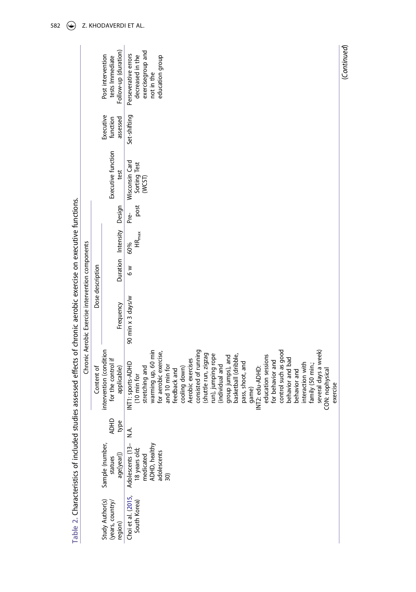|                                                | Table 2. Characteristics of included stud                                             |                     | lies assessed effects of chronic aerobic exercise on executive functions.                                                                                                                                                                                                                                                                                                                                                                                                                                                                                           |                                                  |                  |                           |              |                                          |                                   |                                                                                                |
|------------------------------------------------|---------------------------------------------------------------------------------------|---------------------|---------------------------------------------------------------------------------------------------------------------------------------------------------------------------------------------------------------------------------------------------------------------------------------------------------------------------------------------------------------------------------------------------------------------------------------------------------------------------------------------------------------------------------------------------------------------|--------------------------------------------------|------------------|---------------------------|--------------|------------------------------------------|-----------------------------------|------------------------------------------------------------------------------------------------|
|                                                |                                                                                       |                     |                                                                                                                                                                                                                                                                                                                                                                                                                                                                                                                                                                     | Chronic Aerobic Exercise intervention components |                  |                           |              |                                          |                                   |                                                                                                |
|                                                |                                                                                       |                     | Content of                                                                                                                                                                                                                                                                                                                                                                                                                                                                                                                                                          |                                                  | Dose description |                           |              |                                          |                                   |                                                                                                |
| Study Author(s)<br>(years, country/<br>region) | Sample (number,<br>age[year])<br>statues                                              | <b>ADHD</b><br>type | intervention (condition<br>for the control if<br>applicable)                                                                                                                                                                                                                                                                                                                                                                                                                                                                                                        | Frequency                                        |                  | Duration Intensity Design |              | Executive function<br>test               | Executive<br>function<br>assessed | Follow-up (duration)<br>Post intervention<br>tests Immediate                                   |
| Choi et al. (2015,<br>South Korea)             | 18 years old;<br>medicated<br>ADHD, healthy<br>Adolescents (13-<br>adolescents<br>30) | Α.<br>Ζ             | warming up, 60 min<br>consisted of running<br>control such as good<br>several days a week)<br>for aerobic exercise,<br>(shuttle run, zigzag<br>run), jumping rope<br>basketball (dribble,<br>education sessions<br>group jumps), and<br>behavior and bad<br>Aerobic exercises<br>for behavior and<br>pass, shoot, and<br>INT1: sports-ADHD<br>interaction with<br>family (50 min.;<br>individual and<br>and 10 min for<br>stretching and<br>cooling down)<br>INT2: edu-ADHD:<br>feedback and<br>CON: nophysical<br>behavior and<br>(10 min for<br>exercise<br>game) | 90 min x 3 days/w                                | $\frac{8}{6}$    | $HR_{max}$<br>60%         | post<br>Pre- | Wisconsin Card<br>Sorting Test<br>(WCST) | Set-shifting                      | exercisegroup and<br>Perseverative errors<br>decreased in the<br>education group<br>not in the |
|                                                |                                                                                       |                     |                                                                                                                                                                                                                                                                                                                                                                                                                                                                                                                                                                     |                                                  |                  |                           |              |                                          |                                   |                                                                                                |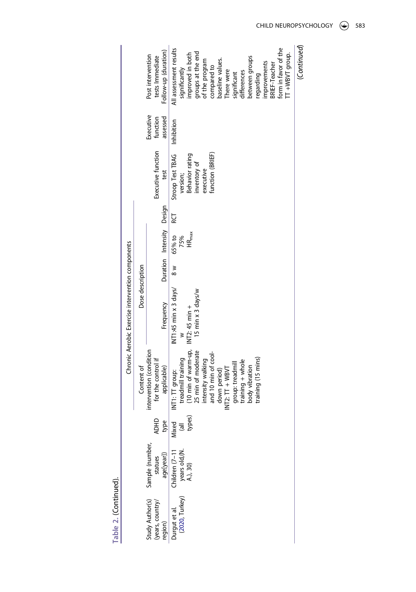(*Continued*)

(Continued)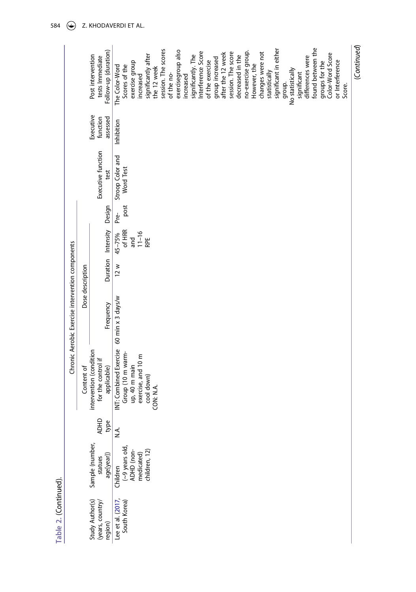|                                                  |                  | Post intervention<br>tests Immediate          | Follow-up (duration) | The Color-Word         | Scores of the                | exercise group | increased          | significantly after         | the 12 week | session. The scores | of the no- | exercisegroup also | increased | significantly. The | Interference Score | of the exercise | group increased | after the 12 week | session. The score | decreased in the | no-exercise group. | However, the | changes were not | statistically | significant in either | group. | No statistically | significant | differences were | found between the | groups for the | Color-Word Score | or Interference | Score. | (Continued) |
|--------------------------------------------------|------------------|-----------------------------------------------|----------------------|------------------------|------------------------------|----------------|--------------------|-----------------------------|-------------|---------------------|------------|--------------------|-----------|--------------------|--------------------|-----------------|-----------------|-------------------|--------------------|------------------|--------------------|--------------|------------------|---------------|-----------------------|--------|------------------|-------------|------------------|-------------------|----------------|------------------|-----------------|--------|-------------|
|                                                  |                  | Executive<br>function                         | assessed             | Inhibition             |                              |                |                    |                             |             |                     |            |                    |           |                    |                    |                 |                 |                   |                    |                  |                    |              |                  |               |                       |        |                  |             |                  |                   |                |                  |                 |        |             |
|                                                  |                  | Executive function                            | test                 | Stroop Color and       | <b>Word Test</b>             |                |                    |                             |             |                     |            |                    |           |                    |                    |                 |                 |                   |                    |                  |                    |              |                  |               |                       |        |                  |             |                  |                   |                |                  |                 |        |             |
|                                                  |                  |                                               | Design               | Pre-                   | post                         |                |                    |                             |             |                     |            |                    |           |                    |                    |                 |                 |                   |                    |                  |                    |              |                  |               |                       |        |                  |             |                  |                   |                |                  |                 |        |             |
|                                                  |                  |                                               | Duration Intensity   | 45-75%                 | of HRR                       | and            | $11 - 16$          | RPE                         |             |                     |            |                    |           |                    |                    |                 |                 |                   |                    |                  |                    |              |                  |               |                       |        |                  |             |                  |                   |                |                  |                 |        |             |
|                                                  | Dose description |                                               |                      | 12 w                   |                              |                |                    |                             |             |                     |            |                    |           |                    |                    |                 |                 |                   |                    |                  |                    |              |                  |               |                       |        |                  |             |                  |                   |                |                  |                 |        |             |
| Chronic Aerobic Exercise intervention components |                  |                                               | Frequency            | 60 min x 3 days/w      |                              |                |                    |                             |             |                     |            |                    |           |                    |                    |                 |                 |                   |                    |                  |                    |              |                  |               |                       |        |                  |             |                  |                   |                |                  |                 |        |             |
|                                                  | Content of       | intervention (condition<br>for the control if | applicable)          | INT: Combined Exercise | Group (10 m warm-            | up, 40 m main  | exercise, and 10 m | cool down)                  | CON: N.A.   |                     |            |                    |           |                    |                    |                 |                 |                   |                    |                  |                    |              |                  |               |                       |        |                  |             |                  |                   |                |                  |                 |        |             |
|                                                  |                  | <b>ADHD</b>                                   | type                 | ΧÁ.                    |                              |                |                    |                             |             |                     |            |                    |           |                    |                    |                 |                 |                   |                    |                  |                    |              |                  |               |                       |        |                  |             |                  |                   |                |                  |                 |        |             |
|                                                  |                  | Sample (number,<br>statues                    | age[year])           | Children               | (~9 years old,<br>ADHD (non- |                |                    | medicated)<br>children, 12) |             |                     |            |                    |           |                    |                    |                 |                 |                   |                    |                  |                    |              |                  |               |                       |        |                  |             |                  |                   |                |                  |                 |        |             |
|                                                  |                  | Study Author(s)<br>(years, country/           | region)              | Lee et al. (2017,      | South Korea)                 |                |                    |                             |             |                     |            |                    |           |                    |                    |                 |                 |                   |                    |                  |                    |              |                  |               |                       |        |                  |             |                  |                   |                |                  |                 |        |             |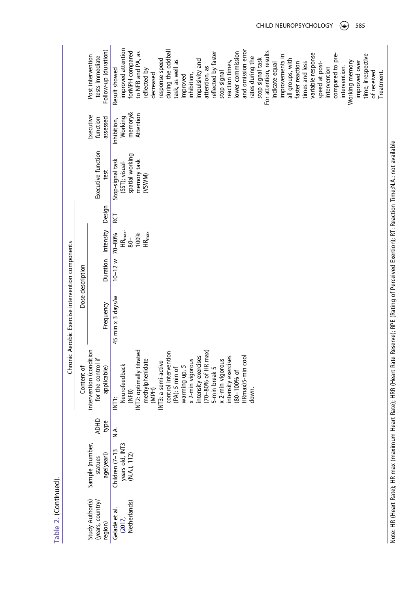| I |
|---|
|   |
|   |
|   |
|   |
|   |
|   |
|   |
|   |
|   |
| L |
|   |
|   |
|   |
|   |
|   |
|   |
|   |
|   |
|   |
|   |
|   |

|                                                |                                                   |                     |                                                                                                                                                                                                                                                                                                                                                                              | Chronic Aerobic Exercise intervention components |                    |                                                    |        |                                                                                |                                                |                                                                                                                                                                                                                                                                                                                                                                                                                                                                                                                                                                                                                                                                                          |
|------------------------------------------------|---------------------------------------------------|---------------------|------------------------------------------------------------------------------------------------------------------------------------------------------------------------------------------------------------------------------------------------------------------------------------------------------------------------------------------------------------------------------|--------------------------------------------------|--------------------|----------------------------------------------------|--------|--------------------------------------------------------------------------------|------------------------------------------------|------------------------------------------------------------------------------------------------------------------------------------------------------------------------------------------------------------------------------------------------------------------------------------------------------------------------------------------------------------------------------------------------------------------------------------------------------------------------------------------------------------------------------------------------------------------------------------------------------------------------------------------------------------------------------------------|
|                                                |                                                   |                     | Content of                                                                                                                                                                                                                                                                                                                                                                   |                                                  | Dose description   |                                                    |        |                                                                                |                                                |                                                                                                                                                                                                                                                                                                                                                                                                                                                                                                                                                                                                                                                                                          |
| Study Author(s)<br>(years, country)<br>region) | Sample (number,<br>age[year])<br>statues          | <b>ADHD</b><br>type | intervention (condition<br>for the control if<br>applicable)                                                                                                                                                                                                                                                                                                                 | Frequency                                        |                    | Duration Intensity                                 | Design | Executive function<br>test                                                     | Executive<br>assessed<br>function              | Follow-up (duration)<br>Post intervention<br>tests Immediate                                                                                                                                                                                                                                                                                                                                                                                                                                                                                                                                                                                                                             |
| Geladé et al.<br>(2017,<br>Netherlands)        | years old, INT3<br>(N.A.), 112)<br>Children (7-13 | λ.<br>Σ             | INT2: optimally titrated<br>$(70-80%$ of HR max)<br>control intervention<br>intensity exercises<br>HRmax)5-min cool<br>intensity exercises<br>methylphenidate<br>x 2-min vigorous<br>x 2-min vigorous<br>INT3: a semi-active<br>Neurofeedback<br>warming up, 5<br>5-min break 5<br>$(PA)$ : 5 min of<br>$(80 - 100\% \text{ of }$<br>(MPH)<br>down.<br>(NFB)<br><b>INT1:</b> | 45 min x 3 days/w                                | $10-12$ w $70-80%$ | $HR_{\text{max}}$ .<br>$HR_{max}$<br>100%<br>$80-$ | RС     | spatial working<br>Stop-signal task<br>memory task<br>(SST); visual-<br>(VSWM) | memory&<br>Attention<br>Working<br>Inhibition, | improved attention<br>and omission error<br>during the oddball<br>forMPH compared<br>lower commission<br>For attention, results<br>to NFB and PA, as<br>reflected by faster<br>variable response<br>compared to pre-<br>time, irrespective<br>improvements in<br>rates during the<br>stop signal task<br>response speed<br>impulsivity and<br>all groups, with<br>task, as well as<br>reaction times,<br>Working memory<br>faster reaction<br>times and less<br>speed at post-<br>improved over<br>indicate equal<br>attention, as<br>intervention.<br>intervention<br>Result showed<br>reflected by<br>stop signal<br>of received<br>Treatment.<br>decreased<br>inhibition,<br>improved |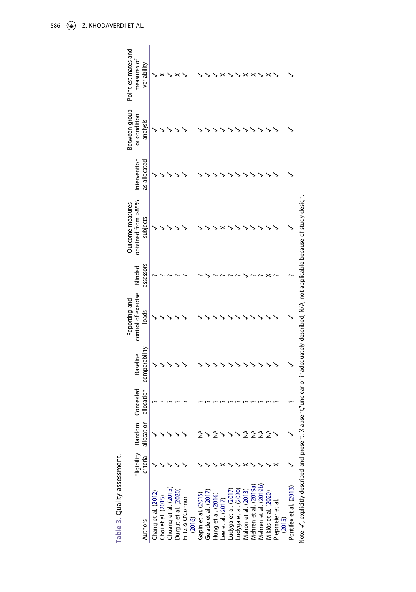<span id="page-18-4"></span><span id="page-18-3"></span><span id="page-18-2"></span><span id="page-18-1"></span>

| $\frac{1}{2}$<br>į<br>í |
|-------------------------|
|                         |
|                         |
|                         |

<span id="page-18-0"></span>

| Point estimates and<br>measures of     | variability   |                                           |                      |                      |                            |                     |                      |                    |                   |                     |                      |                     |                       |   |                                               |                  |        |                        |                                                                                                                                |
|----------------------------------------|---------------|-------------------------------------------|----------------------|----------------------|----------------------------|---------------------|----------------------|--------------------|-------------------|---------------------|----------------------|---------------------|-----------------------|---|-----------------------------------------------|------------------|--------|------------------------|--------------------------------------------------------------------------------------------------------------------------------|
| Between-group<br>or condition          | analysis      |                                           |                      |                      |                            |                     |                      |                    |                   |                     |                      |                     |                       |   |                                               |                  |        |                        |                                                                                                                                |
| Intervention                           | as allocated  |                                           |                      |                      |                            |                     |                      |                    |                   |                     |                      |                     |                       |   |                                               |                  |        |                        |                                                                                                                                |
| obtained from >85%<br>Outcome measures | subjects      |                                           |                      |                      |                            |                     |                      |                    |                   |                     |                      |                     |                       |   |                                               |                  |        |                        |                                                                                                                                |
| Blinded                                | assessors     |                                           |                      |                      |                            |                     |                      |                    |                   |                     |                      |                     |                       |   |                                               |                  |        |                        |                                                                                                                                |
| control of exercise<br>Reporting and   | loads         |                                           |                      |                      |                            |                     |                      |                    |                   |                     |                      |                     |                       |   |                                               |                  |        |                        |                                                                                                                                |
| <b>Baseline</b>                        | comparability |                                           |                      |                      |                            |                     |                      |                    |                   |                     |                      |                     |                       |   |                                               |                  |        |                        |                                                                                                                                |
| Concealed                              | allocation    |                                           |                      |                      |                            |                     |                      |                    |                   |                     |                      |                     |                       |   |                                               |                  |        |                        |                                                                                                                                |
| Eligibility Random                     | allocation    |                                           |                      |                      |                            |                     |                      |                    |                   |                     |                      |                     | ≨                     | ≨ | ≸                                             |                  |        |                        |                                                                                                                                |
|                                        | criteria      |                                           |                      |                      |                            |                     |                      |                    |                   |                     |                      |                     |                       |   |                                               |                  |        |                        |                                                                                                                                |
|                                        | Authors       | Chang et al. (2012)<br>Choi et al. (2015) | Chuang et al. (2015) | Durgut et al. (2020) | Fritz & O'Connor<br>(2016) | Gapin et al. (2015) | Geladé et al. (2017) | Hung et al. (2016) | Lee et al. (2017) | Ludyga et al. (2017 | Ludyga et al. (2020) | Mahon et al. (2013) | Mehren et al. (2019a) |   | Mehren et al. (2019b)<br>Miklós et al. (2020) | Piepmeier et al. | (2015) | Pontifex et al. (2013) | Note: / avoicitly decribed and present: Y absent?upclear or inadequately described: N/A pot applicable because of study design |

Note:  $J$  , explicitly described and present; X absent; X absent; and the secribed; N/A, not applicable because of study design. Note: ✓, explicitly described and present; X absent;?unclear or inadequately described; N/A, not applicable because of study design.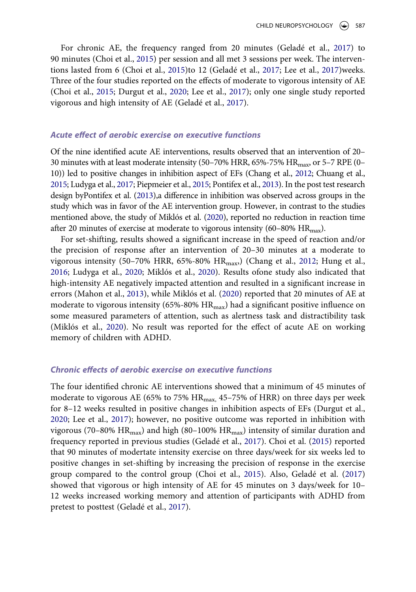For chronic AE, the frequency ranged from 20 minutes (Geladé et al., [2017](#page-25-8)) to 90 minutes (Choi et al., [2015](#page-24-10)) per session and all met 3 sessions per week. The interventions lasted from 6 (Choi et al., [2015](#page-24-10))to 12 (Geladé et al., [2017](#page-25-8); Lee et al., [2017\)](#page-25-10)weeks. Three of the four studies reported on the effects of moderate to vigorous intensity of AE (Choi et al., [2015;](#page-24-10) Durgut et al., [2020](#page-24-12); Lee et al., [2017](#page-25-10)); only one single study reported vigorous and high intensity of AE (Geladé et al., [2017\)](#page-25-8).

#### *Acute effect of aerobic exercise on executive functions*

Of the nine identified acute AE interventions, results observed that an intervention of 20– 30 minutes with at least moderate intensity (50–70% HRR, 65%-75%  $HR_{\text{max}}$ , or 5–7 RPE (0– 10)) led to positive changes in inhibition aspect of EFs (Chang et al., [2012;](#page-24-9) Chuang et al., [2015](#page-24-11); Ludyga et al., [2017;](#page-26-5) Piepmeier et al., [2015;](#page-27-8) Pontifex et al., [2013](#page-27-9)). In the post test research design byPontifex et al. [\(2013\)](#page-27-9),a difference in inhibition was observed across groups in the study which was in favor of the AE intervention group. However, in contrast to the studies mentioned above, the study of Miklós et al. [\(2020\)](#page-26-8), reported no reduction in reaction time after 20 minutes of exercise at moderate to vigorous intensity  $(60-80\% \text{ HR}_{\text{max}})$ .

For set-shifting, results showed a significant increase in the speed of reaction and/or the precision of response after an intervention of 20–30 minutes at a moderate to vigorous intensity (50–70% HRR, 65%-80% HR<sub>max</sub>) (Chang et al., [2012;](#page-24-9) Hung et al., [2016](#page-25-9); Ludyga et al., [2020;](#page-26-6) Miklós et al., [2020](#page-26-8)). Results ofone study also indicated that high-intensity AE negatively impacted attention and resulted in a significant increase in errors (Mahon et al., [2013\)](#page-26-7), while Miklós et al. [\(2020](#page-26-8)) reported that 20 minutes of AE at moderate to vigorous intensity (65%-80%  $HR_{max}$ ) had a significant positive influence on some measured parameters of attention, such as alertness task and distractibility task (Miklós et al., [2020](#page-26-8)). No result was reported for the effect of acute AE on working memory of children with ADHD.

#### *Chronic effects of aerobic exercise on executive functions*

<span id="page-19-0"></span>The four identified chronic AE interventions showed that a minimum of 45 minutes of moderate to vigorous AE (65% to 75% HR<sub>max</sub>, 45-75% of HRR) on three days per week for 8–12 weeks resulted in positive changes in inhibition aspects of EFs (Durgut et al., [2020](#page-24-12); Lee et al., [2017](#page-25-10)); however, no positive outcome was reported in inhibition with vigorous (70–80% HR<sub>max</sub>) and high (80–100% HR<sub>max</sub>) intensity of similar duration and frequency reported in previous studies (Geladé et al., [2017\)](#page-25-8). Choi et al. ([2015](#page-24-10)) reported that 90 minutes of modertate intensity exercise on three days/week for six weeks led to positive changes in set-shifting by increasing the precision of response in the exercise group compared to the control group (Choi et al., [2015](#page-24-10)). Also, Geladé et al. [\(2017\)](#page-25-12) showed that vigorous or high intensity of AE for 45 minutes on 3 days/week for 10– 12 weeks increased working memory and attention of participants with ADHD from pretest to posttest (Geladé et al., [2017](#page-25-8)).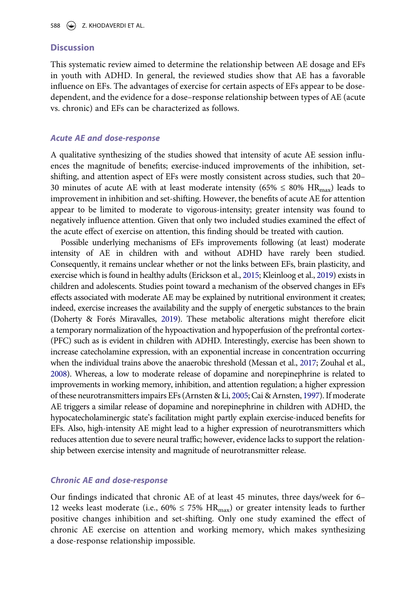#### **Discussion**

This systematic review aimed to determine the relationship between AE dosage and EFs in youth with ADHD. In general, the reviewed studies show that AE has a favorable influence on EFs. The advantages of exercise for certain aspects of EFs appear to be dosedependent, and the evidence for a dose–response relationship between types of AE (acute vs. chronic) and EFs can be characterized as follows.

#### *Acute AE and dose-response*

A qualitative synthesizing of the studies showed that intensity of acute AE session influences the magnitude of benefits; exercise-induced improvements of the inhibition, setshifting, and attention aspect of EFs were mostly consistent across studies, such that 20– 30 minutes of acute AE with at least moderate intensity (65%  $\leq 80\%$  HR<sub>max</sub>) leads to improvement in inhibition and set-shifting. However, the benefits of acute AE for attention appear to be limited to moderate to vigorous-intensity; greater intensity was found to negatively influence attention. Given that only two included studies examined the effect of the acute effect of exercise on attention, this finding should be treated with caution.

<span id="page-20-3"></span><span id="page-20-2"></span><span id="page-20-1"></span>Possible underlying mechanisms of EFs improvements following (at least) moderate intensity of AE in children with and without ADHD have rarely been studied. Consequently, it remains unclear whether or not the links between EFs, brain plasticity, and exercise which is found in healthy adults (Erickson et al., [2015](#page-24-14); Kleinloog et al., [2019](#page-25-13)) exists in children and adolescents. Studies point toward a mechanism of the observed changes in EFs effects associated with moderate AE may be explained by nutritional environment it creates; indeed, exercise increases the availability and the supply of energetic substances to the brain (Doherty & Forés Miravalles, [2019\)](#page-24-15). These metabolic alterations might therefore elicit a temporary normalization of the hypoactivation and hypoperfusion of the prefrontal cortex- (PFC) such as is evident in children with ADHD. Interestingly, exercise has been shown to increase catecholamine expression, with an exponential increase in concentration occurring when the individual trains above the anaerobic threshold (Messan et al., [2017](#page-26-11); Zouhal et al., [2008](#page-28-8)). Whereas, a low to moderate release of dopamine and norepinephrine is related to improvements in working memory, inhibition, and attention regulation; a higher expression of these neurotransmitters impairs EFs (Arnsten & Li, [2005](#page-23-5); Cai & Arnsten, [1997\)](#page-23-6). If moderate AE triggers a similar release of dopamine and norepinephrine in children with ADHD, the hypocatecholaminergic state's facilitation might partly explain exercise-induced benefits for EFs. Also, high-intensity AE might lead to a higher expression of neurotransmitters which reduces attention due to severe neural traffic; however, evidence lacks to support the relationship between exercise intensity and magnitude of neurotransmitter release.

#### <span id="page-20-0"></span>*Chronic AE and dose-response*

Our findings indicated that chronic AE of at least 45 minutes, three days/week for 6– 12 weeks least moderate (i.e.,  $60\% \le 75\%$  HR<sub>max</sub>) or greater intensity leads to further positive changes inhibition and set-shifting. Only one study examined the effect of chronic AE exercise on attention and working memory, which makes synthesizing a dose-response relationship impossible.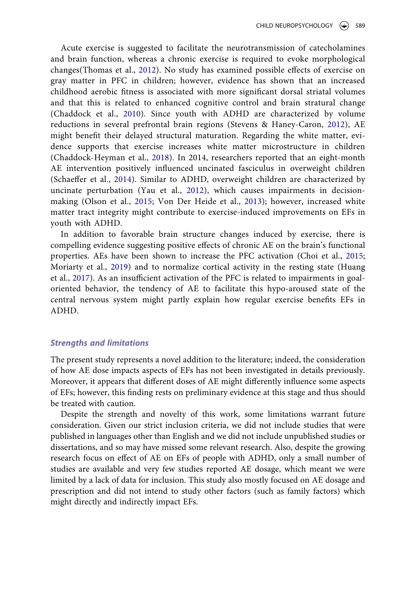<span id="page-21-6"></span><span id="page-21-5"></span><span id="page-21-0"></span>Acute exercise is suggested to facilitate the neurotransmission of catecholamines and brain function, whereas a chronic exercise is required to evoke morphological changes(Thomas et al., [2012](#page-28-9)). No study has examined possible effects of exercise on gray matter in PFC in children; however, evidence has shown that an increased childhood aerobic fitness is associated with more significant dorsal striatal volumes and that this is related to enhanced cognitive control and brain stratural change (Chaddock et al., [2010\)](#page-23-7). Since youth with ADHD are characterized by volume reductions in several prefrontal brain regions (Stevens & Haney-Caron, [2012](#page-27-11)), AE might benefit their delayed structural maturation. Regarding the white matter, evidence supports that exercise increases white matter microstructure in children (Chaddock-Heyman et al., [2018\)](#page-23-8). In 2014, researchers reported that an eight-month AE intervention positively influenced uncinated fasciculus in overweight children (Schaeffer et al., [2014\)](#page-27-12). Similar to ADHD, overweight children are characterized by uncinate perturbation (Yau et al., [2012\)](#page-28-10), which causes impairments in decisionmaking (Olson et al., [2015](#page-27-13); Von Der Heide et al., [2013\)](#page-28-11); however, increased white matter tract integrity might contribute to exercise-induced improvements on EFs in youth with ADHD.

<span id="page-21-7"></span><span id="page-21-4"></span><span id="page-21-3"></span><span id="page-21-2"></span><span id="page-21-1"></span>In addition to favorable brain structure changes induced by exercise, there is compelling evidence suggesting positive effects of chronic AE on the brain's functional properties. AEs have been shown to increase the PFC activation (Choi et al., [2015;](#page-24-10) Moriarty et al., [2019\)](#page-27-14) and to normalize cortical activity in the resting state (Huang et al., [2017](#page-25-4)). As an insufficient activation of the PFC is related to impairments in goaloriented behavior, the tendency of AE to facilitate this hypo-aroused state of the central nervous system might partly explain how regular exercise benefits EFs in ADHD.

#### *Strengths and limitations*

The present study represents a novel addition to the literature; indeed, the consideration of how AE dose impacts aspects of EFs has not been investigated in details previously. Moreover, it appears that different doses of AE might differently influence some aspects of EFs; however, this finding rests on preliminary evidence at this stage and thus should be treated with caution.

Despite the strength and novelty of this work, some limitations warrant future consideration. Given our strict inclusion criteria, we did not include studies that were published in languages other than English and we did not include unpublished studies or dissertations, and so may have missed some relevant research. Also, despite the growing research focus on effect of AE on EFs of people with ADHD, only a small number of studies are available and very few studies reported AE dosage, which meant we were limited by a lack of data for inclusion. This study also mostly focused on AE dosage and prescription and did not intend to study other factors (such as family factors) which might directly and indirectly impact EFs.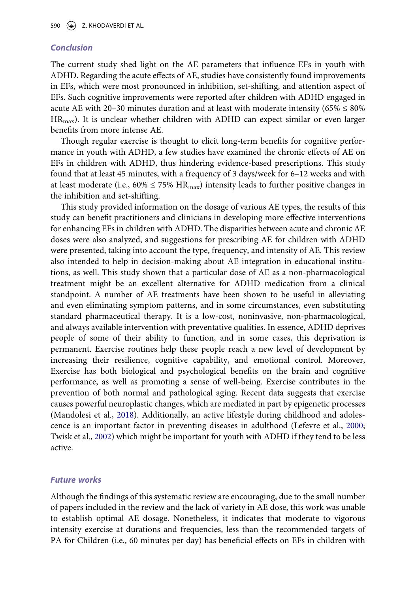#### *Conclusion*

The current study shed light on the AE parameters that influence EFs in youth with ADHD. Regarding the acute effects of AE, studies have consistently found improvements in EFs, which were most pronounced in inhibition, set-shifting, and attention aspect of EFs. Such cognitive improvements were reported after children with ADHD engaged in acute AE with 20–30 minutes duration and at least with moderate intensity ( $65\% \leq 80\%$  $HR<sub>max</sub>$ ). It is unclear whether children with ADHD can expect similar or even larger benefits from more intense AE.

Though regular exercise is thought to elicit long-term benefits for cognitive performance in youth with ADHD, a few studies have examined the chronic effects of AE on EFs in children with ADHD, thus hindering evidence-based prescriptions. This study found that at least 45 minutes, with a frequency of 3 days/week for 6–12 weeks and with at least moderate (i.e.,  $60\% \le 75\% \text{ HR}_{\text{max}}$ ) intensity leads to further positive changes in the inhibition and set-shifting.

This study provided information on the dosage of various AE types, the results of this study can benefit practitioners and clinicians in developing more effective interventions for enhancing EFs in children with ADHD. The disparities between acute and chronic AE doses were also analyzed, and suggestions for prescribing AE for children with ADHD were presented, taking into account the type, frequency, and intensity of AE. This review also intended to help in decision-making about AE integration in educational institutions, as well. This study shown that a particular dose of AE as a non-pharmacological treatment might be an excellent alternative for ADHD medication from a clinical standpoint. A number of AE treatments have been shown to be useful in alleviating and even eliminating symptom patterns, and in some circumstances, even substituting standard pharmaceutical therapy. It is a low-cost, noninvasive, non-pharmacological, and always available intervention with preventative qualities. In essence, ADHD deprives people of some of their ability to function, and in some cases, this deprivation is permanent. Exercise routines help these people reach a new level of development by increasing their resilience, cognitive capability, and emotional control. Moreover, Exercise has both biological and psychological benefits on the brain and cognitive performance, as well as promoting a sense of well-being. Exercise contributes in the prevention of both normal and pathological aging. Recent data suggests that exercise causes powerful neuroplastic changes, which are mediated in part by epigenetic processes (Mandolesi et al., [2018\)](#page-26-12). Additionally, an active lifestyle during childhood and adolescence is an important factor in preventing diseases in adulthood (Lefevre et al., [2000;](#page-26-13) Twisk et al., [2002](#page-28-12)) which might be important for youth with ADHD if they tend to be less active.

#### <span id="page-22-2"></span><span id="page-22-1"></span><span id="page-22-0"></span>*Future works*

Although the findings of this systematic review are encouraging, due to the small number of papers included in the review and the lack of variety in AE dose, this work was unable to establish optimal AE dosage. Nonetheless, it indicates that moderate to vigorous intensity exercise at durations and frequencies, less than the recommended targets of PA for Children (i.e., 60 minutes per day) has beneficial effects on EFs in children with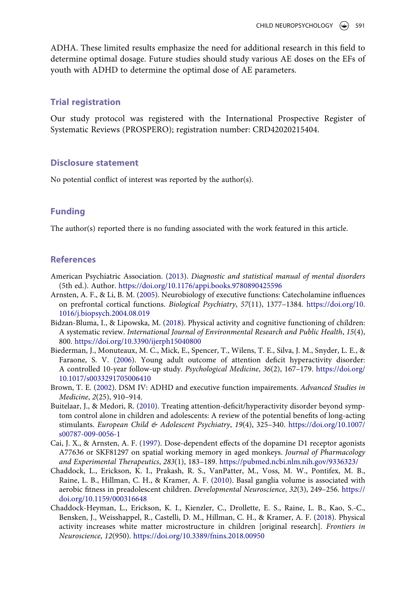ADHA. These limited results emphasize the need for additional research in this field to determine optimal dosage. Future studies should study various AE doses on the EFs of youth with ADHD to determine the optimal dose of AE parameters.

#### **Trial registration**

Our study protocol was registered with the International Prospective Register of Systematic Reviews (PROSPERO); registration number: CRD42020215404.

#### **Disclosure statement**

No potential conflict of interest was reported by the author(s).

#### **Funding**

The author(s) reported there is no funding associated with the work featured in this article.

#### **References**

- <span id="page-23-0"></span>American Psychiatric Association. ([2013](#page-1-1)). *Diagnostic and statistical manual of mental disorders*  (5th ed.). Author. <https://doi.org/10.1176/appi.books.9780890425596>
- <span id="page-23-5"></span>Arnsten, A. F., & Li, B. M. [\(2005\)](#page-20-0). Neurobiology of executive functions: Catecholamine influences on prefrontal cortical functions. *Biological Psychiatry*, *57*(11), 1377–1384. [https://doi.org/10.](https://doi.org/10.1016/j.biopsych.2004.08.019) [1016/j.biopsych.2004.08.019](https://doi.org/10.1016/j.biopsych.2004.08.019)
- <span id="page-23-4"></span>Bidzan-Bluma, I., & Lipowska, M. ([2018\)](#page-3-0). Physical activity and cognitive functioning of children: A systematic review. *International Journal of Environmental Research and Public Health*, *15*(4), 800.<https://doi.org/10.3390/ijerph15040800>
- <span id="page-23-1"></span>Biederman, J., Monuteaux, M. C., Mick, E., Spencer, T., Wilens, T. E., Silva, J. M., Snyder, L. E., & Faraone, S. V. [\(2006](#page-2-0)). Young adult outcome of attention deficit hyperactivity disorder: A controlled 10-year follow-up study. *Psychological Medicine*, *36*(2), 167–179. [https://doi.org/](https://doi.org/10.1017/s0033291705006410) [10.1017/s0033291705006410](https://doi.org/10.1017/s0033291705006410)
- <span id="page-23-2"></span>Brown, T. E. [\(2002\)](#page-2-1). DSM IV: ADHD and executive function impairements. *Advanced Studies in Medicine*, *2*(25), 910–914.
- <span id="page-23-3"></span>Buitelaar, J., & Medori, R. [\(2010\)](#page-2-2). Treating attention-deficit/hyperactivity disorder beyond symptom control alone in children and adolescents: A review of the potential benefits of long-acting stimulants. *European Child & Adolescent Psychiatry*, *19*(4), 325–340. [https://doi.org/10.1007/](https://doi.org/10.1007/s00787-009-0056-1) [s00787-009-0056-1](https://doi.org/10.1007/s00787-009-0056-1)
- <span id="page-23-6"></span>Cai, J. X., & Arnsten, A. F. ([1997\)](#page-20-0). Dose-dependent effects of the dopamine D1 receptor agonists A77636 or SKF81297 on spatial working memory in aged monkeys. *Journal of Pharmacology and Experimental Therapeutics*, *283*(1), 183–189. <https://pubmed.ncbi.nlm.nih.gov/9336323/>
- <span id="page-23-7"></span>Chaddock, L., Erickson, K. I., Prakash, R. S., VanPatter, M., Voss, M. W., Pontifex, M. B., Raine, L. B., Hillman, C. H., & Kramer, A. F. ([2010\)](#page-21-0). Basal ganglia volume is associated with aerobic fitness in preadolescent children. *Developmental Neuroscience*, *32*(3), 249–256. [https://](https://doi.org/10.1159/000316648) [doi.org/10.1159/000316648](https://doi.org/10.1159/000316648)
- <span id="page-23-8"></span>Chaddock-Heyman, L., Erickson, K. I., Kienzler, C., Drollette, E. S., Raine, L. B., Kao, S.-C., Bensken, J., Weisshappel, R., Castelli, D. M., Hillman, C. H., & Kramer, A. F. [\(2018\)](#page-21-1). Physical activity increases white matter microstructure in children [original research]. *Frontiers in Neuroscience*, *12*(950). <https://doi.org/10.3389/fnins.2018.00950>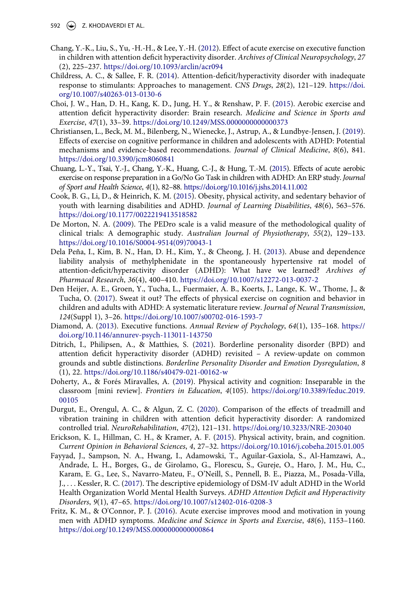- 592  $\left(\rightarrow\right)$  Z. KHODAVERDI ET AL.
- <span id="page-24-9"></span>Chang, Y.-K., Liu, S., Yu, -H.-H., & Lee, Y.-H. [\(2012](#page-6-1)). Effect of acute exercise on executive function in children with attention deficit hyperactivity disorder. *Archives of Clinical Neuropsychology*, *27*  (2), 225–237. <https://doi.org/10.1093/arclin/acr094>
- <span id="page-24-4"></span>Childress, A. C., & Sallee, F. R. ([2014\)](#page-2-3). Attention-deficit/hyperactivity disorder with inadequate response to stimulants: Approaches to management. *CNS Drugs*, *28*(2), 121–129. [https://doi.](https://doi.org/10.1007/s40263-013-0130-6) [org/10.1007/s40263-013-0130-6](https://doi.org/10.1007/s40263-013-0130-6)
- <span id="page-24-10"></span>Choi, J. W., Han, D. H., Kang, K. D., Jung, H. Y., & Renshaw, P. F. [\(2015\)](#page-6-2). Aerobic exercise and attention deficit hyperactivity disorder: Brain research. *Medicine and Science in Sports and Exercise*, *47*(1), 33–39. <https://doi.org/10.1249/MSS.0000000000000373>
- <span id="page-24-5"></span>Christiansen, L., Beck, M. M., Bilenberg, N., Wienecke, J., Astrup, A., & Lundbye-Jensen, J. [\(2019\)](#page-2-4). Effects of exercise on cognitive performance in children and adolescents with ADHD: Potential mechanisms and evidence-based recommendations. *Journal of Clinical Medicine*, *8*(6), 841. <https://doi.org/10.3390/jcm8060841>
- <span id="page-24-11"></span>Chuang, L.-Y., Tsai, Y.-J., Chang, Y.-K., Huang, C.-J., & Hung, T.-M. ([2015\)](#page-6-1). Effects of acute aerobic exercise on response preparation in a Go/No Go Task in children with ADHD: An ERP study. *Journal of Sport and Health Science*, *4*(1), 82–88. <https://doi.org/10.1016/j.jshs.2014.11.002>
- <span id="page-24-6"></span>Cook, B. G., Li, D., & Heinrich, K. M. ([2015](#page-3-1)). Obesity, physical activity, and sedentary behavior of youth with learning disabilities and ADHD. *Journal of Learning Disabilities*, *48*(6), 563–576. <https://doi.org/10.1177/0022219413518582>
- <span id="page-24-8"></span>De Morton, N. A. [\(2009\)](#page-5-0). The PEDro scale is a valid measure of the methodological quality of clinical trials: A demographic study. *Australian Journal of Physiotherapy*, *55*(2), 129–133. [https://doi.org/10.1016/S0004-9514\(09\)70043-1](https://doi.org/10.1016/S0004-9514(09)70043-1)
- <span id="page-24-3"></span>Dela Peña, I., Kim, B. N., Han, D. H., Kim, Y., & Cheong, J. H. [\(2013](#page-2-2)). Abuse and dependence liability analysis of methylphenidate in the spontaneously hypertensive rat model of attention-deficit/hyperactivity disorder (ADHD): What have we learned? *Archives of Pharmacal Research*, *36*(4), 400–410. <https://doi.org/10.1007/s12272-013-0037-2>
- <span id="page-24-7"></span>Den Heijer, A. E., Groen, Y., Tucha, L., Fuermaier, A. B., Koerts, J., Lange, K. W., Thome, J., & Tucha, O. [\(2017](#page-3-2)). Sweat it out? The effects of physical exercise on cognition and behavior in children and adults with ADHD: A systematic literature review. *Journal of Neural Transmission*, *124*(Suppl 1), 3–26. <https://doi.org/10.1007/s00702-016-1593-7>
- <span id="page-24-2"></span>Diamond, A. ([2013](#page-2-5)). Executive functions. *Annual Review of Psychology*, *64*(1), 135–168. [https://](https://doi.org/10.1146/annurev-psych-113011-143750) [doi.org/10.1146/annurev-psych-113011-143750](https://doi.org/10.1146/annurev-psych-113011-143750)
- <span id="page-24-1"></span>Ditrich, I., Philipsen, A., & Matthies, S. ([2021\)](#page-2-6). Borderline personality disorder (BPD) and attention deficit hyperactivity disorder (ADHD) revisited – A review-update on common grounds and subtle distinctions. *Borderline Personality Disorder and Emotion Dysregulation*, *8*  (1), 22. <https://doi.org/10.1186/s40479-021-00162-w>
- <span id="page-24-15"></span>Doherty, A., & Forés Miravalles, A. [\(2019](#page-20-1)). Physical activity and cognition: Inseparable in the classroom [mini review]. *Frontiers in Education*, *4*(105). [https://doi.org/10.3389/feduc.2019.](https://doi.org/10.3389/feduc.2019.00105) [00105](https://doi.org/10.3389/feduc.2019.00105)
- <span id="page-24-12"></span>Durgut, E., Orengul, A. C., & Algun, Z. C. ([2020](#page-6-2)). Comparison of the effects of treadmill and vibration training in children with attention deficit hyperactivity disorder: A randomized controlled trial. *NeuroRehabilitation*, *47*(2), 121–131. <https://doi.org/10.3233/NRE-203040>
- <span id="page-24-14"></span>Erickson, K. I., Hillman, C. H., & Kramer, A. F. [\(2015\)](#page-20-2). Physical activity, brain, and cognition. *Current Opinion in Behavioral Sciences*, *4*, 27–32. <https://doi.org/10.1016/j.cobeha.2015.01.005>
- <span id="page-24-0"></span>Fayyad, J., Sampson, N. A., Hwang, I., Adamowski, T., Aguilar-Gaxiola, S., Al-Hamzawi, A., Andrade, L. H., Borges, G., de Girolamo, G., Florescu, S., Gureje, O., Haro, J. M., Hu, C., Karam, E. G., Lee, S., Navarro-Mateu, F., O'Neill, S., Pennell, B. E., Piazza, M., Posada-Villa, J., . . . Kessler, R. C. [\(2017\)](#page-2-7). The descriptive epidemiology of DSM-IV adult ADHD in the World Health Organization World Mental Health Surveys. *ADHD Attention Deficit and Hyperactivity Disorders*, *9*(1), 47–65. <https://doi.org/10.1007/s12402-016-0208-3>
- <span id="page-24-13"></span>Fritz, K. M., & O'Connor, P. J. [\(2016\)](#page-18-1). Acute exercise improves mood and motivation in young men with ADHD symptoms. *Medicine and Science in Sports and Exercise*, *48*(6), 1153–1160. <https://doi.org/10.1249/MSS.0000000000000864>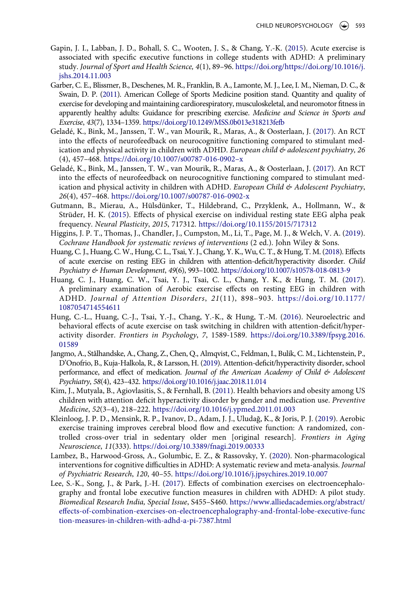- <span id="page-25-11"></span>Gapin, J. I., Labban, J. D., Bohall, S. C., Wooten, J. S., & Chang, Y.-K. [\(2015\)](#page-18-2). Acute exercise is associated with specific executive functions in college students with ADHD: A preliminary study. *Journal of Sport and Health Science, 4*(1), 89–96. [https://doi.org/https://doi.org/10.1016/j.](https://doi.org/https://doi.org/10.1016/j.jshs.2014.11.003) [jshs.2014.11.003](https://doi.org/https://doi.org/10.1016/j.jshs.2014.11.003)
- <span id="page-25-6"></span>Garber, C. E., Blissmer, B., Deschenes, M. R., Franklin, B. A., Lamonte, M. J., Lee, I. M., Nieman, D. C., & Swain, D. P. [\(2011\)](#page-3-3). American College of Sports Medicine position stand. Quantity and quality of exercise for developing and maintaining cardiorespiratory, musculoskeletal, and neuromotor fitness in apparently healthy adults: Guidance for prescribing exercise. *Medicine and Science in Sports and Exercise*, *43*(7), 1334–1359.<https://doi.org/10.1249/MSS.0b013e318213fefb>
- <span id="page-25-12"></span>Geladé, K., Bink, M., Janssen, T. W., van Mourik, R., Maras, A., & Oosterlaan, J. ([2017\)](#page-19-0). An RCT into the effects of neurofeedback on neurocognitive functioning compared to stimulant medication and physical activity in children with ADHD. *European child & adolescent psychiatry, 26*  (4), 457–468. [https://doi.org/10.1007/s00787-016-0902–x](https://doi.org/10.1007/s00787-016-0902%2013x)
- <span id="page-25-8"></span>Geladé, K., Bink, M., Janssen, T. W., van Mourik, R., Maras, A., & Oosterlaan, J. ([2017\)](#page-6-2). An RCT into the effects of neurofeedback on neurocognitive functioning compared to stimulant medication and physical activity in children with ADHD. *European Child & Adolescent Psychiatry*, *26*(4), 457–468. <https://doi.org/10.1007/s00787-016-0902-x>
- <span id="page-25-2"></span>Gutmann, B., Mierau, A., Hülsdünker, T., Hildebrand, C., Przyklenk, A., Hollmann, W., & Strüder, H. K. ([2015\)](#page-2-8). Effects of physical exercise on individual resting state EEG alpha peak frequency. *Neural Plasticity*, *2015*, 717312. <https://doi.org/10.1155/2015/717312>
- <span id="page-25-7"></span>Higgins, J. P. T., Thomas, J., Chandler, J., Cumpston, M., Li, T., Page, M. J., & Welch, V. A. [\(2019\)](#page-5-1). *Cochrane Handbook for systematic reviews of interventions* (2 ed.). John Wiley & Sons.
- <span id="page-25-3"></span>Huang, C. J., Huang, C. W., Hung, C. L., Tsai, Y. J., Chang, Y. K., Wu, C. T., & Hung, T. M. [\(2018\)](#page-2-8). Effects of acute exercise on resting EEG in children with attention-deficit/hyperactivity disorder. *Child Psychiatry & Human Development*, *49*(6), 993–1002. <https://doi.org/10.1007/s10578-018-0813-9>
- <span id="page-25-4"></span>Huang, C. J., Huang, C. W., Tsai, Y. J., Tsai, C. L., Chang, Y. K., & Hung, T. M. [\(2017\)](#page-2-8). A preliminary examination of Aerobic exercise effects on resting EEG in children with ADHD. *Journal of Attention Disorders*, *21*(11), 898–903. [https://doi.org/10.1177/](https://doi.org/10.1177/1087054714554611)  [1087054714554611](https://doi.org/10.1177/1087054714554611)
- <span id="page-25-9"></span>Hung, C.-L., Huang, C.-J., Tsai, Y.-J., Chang, Y.-K., & Hung, T.-M. ([2016](#page-6-3)). Neuroelectric and behavioral effects of acute exercise on task switching in children with attention-deficit/hyperactivity disorder. *Frontiers in Psychology*, *7*, 1589-1589. [https://doi.org/10.3389/fpsyg.2016.](https://doi.org/10.3389/fpsyg.2016.01589) [01589](https://doi.org/10.3389/fpsyg.2016.01589)
- <span id="page-25-0"></span>Jangmo, A., Stålhandske, A., Chang, Z., Chen, Q., Almqvist, C., Feldman, I., Bulik, C. M., Lichtenstein, P., D'Onofrio, B., Kuja-Halkola, R., & Larsson, H. [\(2019\)](#page-2-9). Attention-deficit/hyperactivity disorder, school performance, and effect of medication. *Journal of the American Academy of Child & Adolescent Psychiatry*, *58*(4), 423–432. <https://doi.org/10.1016/j.jaac.2018.11.014>
- <span id="page-25-5"></span>Kim, J., Mutyala, B., Agiovlasitis, S., & Fernhall, B. [\(2011](#page-3-4)). Health behaviors and obesity among US children with attention deficit hyperactivity disorder by gender and medication use. *Preventive Medicine*, *52*(3–4), 218–222. <https://doi.org/10.1016/j.ypmed.2011.01.003>
- <span id="page-25-13"></span>Kleinloog, J. P. D., Mensink, R. P., Ivanov, D., Adam, J. J., Uludağ, K., & Joris, P. J. [\(2019](#page-20-2)). Aerobic exercise training improves cerebral blood flow and executive function: A randomized, controlled cross-over trial in sedentary older men [original research]. *Frontiers in Aging Neuroscience*, *11*(333). <https://doi.org/10.3389/fnagi.2019.00333>
- <span id="page-25-1"></span>Lambez, B., Harwood-Gross, A., Golumbic, E. Z., & Rassovsky, Y. ([2020\)](#page-2-10). Non-pharmacological interventions for cognitive difficulties in ADHD: A systematic review and meta-analysis. *Journal of Psychiatric Research*, *120*, 40–55. <https://doi.org/10.1016/j.jpsychires.2019.10.007>
- <span id="page-25-10"></span>Lee, S.-K., Song, J., & Park, J.-H. [\(2017](#page-6-4)). Effects of combination exercises on electroencephalography and frontal lobe executive function measures in children with ADHD: A pilot study. *Biomedical Research India, Special Issue*, S455–S460. [https://www.alliedacademies.org/abstract/](https://www.alliedacademies.org/abstract/effects-of-combination-exercises-on-electroencephalography-and-frontal-lobe-executive-function-measures-in-children-with-adhd-a-pi-7387.html) [effects-of-combination-exercises-on-electroencephalography-and-frontal-lobe-executive-func](https://www.alliedacademies.org/abstract/effects-of-combination-exercises-on-electroencephalography-and-frontal-lobe-executive-function-measures-in-children-with-adhd-a-pi-7387.html) [tion-measures-in-children-with-adhd-a-pi-7387.html](https://www.alliedacademies.org/abstract/effects-of-combination-exercises-on-electroencephalography-and-frontal-lobe-executive-function-measures-in-children-with-adhd-a-pi-7387.html)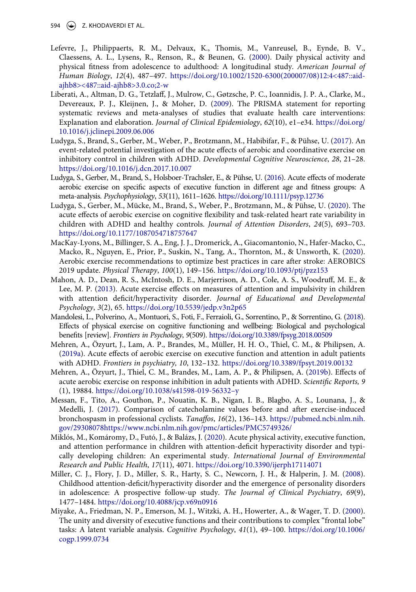594  $\left(\frac{1}{2}\right)$  Z. KHODAVERDI ET AL.

- <span id="page-26-13"></span>Lefevre, J., Philippaerts, R. M., Delvaux, K., Thomis, M., Vanreusel, B., Eynde, B. V., Claessens, A. L., Lysens, R., Renson, R., & Beunen, G. ([2000](#page-22-0)). Daily physical activity and physical fitness from adolescence to adulthood: A longitudinal study. *American Journal of Human Biology*, *12*(4), 487–497. [https://doi.org/10.1002/1520-6300\(200007/08\)12:4<487::aid](https://doi.org/10.1002/1520-6300(200007/08)12:4%3C487::aid-ajhb8%3E%3C487::aid-ajhb8%3E3.0.co;2-w)[ajhb8><487::aid-ajhb8>3.0.co;2-w](https://doi.org/10.1002/1520-6300(200007/08)12:4%3C487::aid-ajhb8%3E%3C487::aid-ajhb8%3E3.0.co;2-w)
- <span id="page-26-4"></span>Liberati, A., Altman, D. G., Tetzlaff, J., Mulrow, C., Gøtzsche, P. C., Ioannidis, J. P. A., Clarke, M., Devereaux, P. J., Kleijnen, J., & Moher, D. [\(2009\)](#page-6-3). The PRISMA statement for reporting systematic reviews and meta-analyses of studies that evaluate health care interventions: Explanation and elaboration. *Journal of Clinical Epidemiology*, *62*(10), e1–e34. [https://doi.org/](https://doi.org/10.1016/j.jclinepi.2009.06.006) [10.1016/j.jclinepi.2009.06.006](https://doi.org/10.1016/j.jclinepi.2009.06.006)
- <span id="page-26-5"></span>Ludyga, S., Brand, S., Gerber, M., Weber, P., Brotzmann, M., Habibifar, F., & Pühse, U. ([2017\)](#page-6-3). An event-related potential investigation of the acute effects of aerobic and coordinative exercise on inhibitory control in children with ADHD. *Developmental Cognitive Neuroscience*, *28*, 21–28. <https://doi.org/10.1016/j.dcn.2017.10.007>
- <span id="page-26-3"></span>Ludyga, S., Gerber, M., Brand, S., Holsboer-Trachsler, E., & Pühse, U. [\(2016\)](#page-5-2). Acute effects of moderate aerobic exercise on specific aspects of executive function in different age and fitness groups: A meta-analysis. *Psychophysiology*, *53*(11), 1611–1626. <https://doi.org/10.1111/psyp.12736>
- <span id="page-26-6"></span>Ludyga, S., Gerber, M., Mücke, M., Brand, S., Weber, P., Brotzmann, M., & Pühse, U. [\(2020](#page-6-3)). The acute effects of aerobic exercise on cognitive flexibility and task-related heart rate variability in children with ADHD and healthy controls. *Journal of Attention Disorders*, *24*(5), 693–703. <https://doi.org/10.1177/1087054718757647>
- <span id="page-26-2"></span>MacKay-Lyons, M., Billinger, S. A., Eng, J. J., Dromerick, A., Giacomantonio, N., Hafer-Macko, C., Macko, R., Nguyen, E., Prior, P., Suskin, N., Tang, A., Thornton, M., & Unsworth, K. [\(2020\)](#page-3-5). Aerobic exercise recommendations to optimize best practices in care after stroke: AEROBICS 2019 update. *Physical Therapy*, *100*(1), 149–156. <https://doi.org/10.1093/ptj/pzz153>
- <span id="page-26-7"></span>Mahon, A. D., Dean, R. S., McIntosh, D. E., Marjerrison, A. D., Cole, A. S., Woodruff, M. E., & Lee, M. P. ([2013\)](#page-6-5). Acute exercise effects on measures of attention and impulsivity in children with attention deficit/hyperactivity disorder. *Journal of Educational and Developmental Psychology*, *3*(2), 65. <https://doi.org/10.5539/jedp.v3n2p65>
- <span id="page-26-12"></span>Mandolesi, L., Polverino, A., Montuori, S., Foti, F., Ferraioli, G., Sorrentino, P., & Sorrentino, G. [\(2018\)](#page-22-1). Effects of physical exercise on cognitive functioning and wellbeing: Biological and psychological benefits [review]. *Frontiers in Psychology*, *9*(509). <https://doi.org/10.3389/fpsyg.2018.00509>
- <span id="page-26-9"></span>Mehren, A., Özyurt, J., Lam, A. P., Brandes, M., Müller, H. H. O., Thiel, C. M., & Philipsen, A. [\(2019a\)](#page-18-3). Acute effects of aerobic exercise on executive function and attention in adult patients with ADHD. *Frontiers in psychiatry, 10*, 132–132. <https://doi.org/10.3389/fpsyt.2019.00132>
- <span id="page-26-10"></span>Mehren, A., Özyurt, J., Thiel, C. M., Brandes, M., Lam, A. P., & Philipsen, A. [\(2019b](#page-18-4)). Effects of acute aerobic exercise on response inhibition in adult patients with ADHD. *Scientific Reports, 9*  (1), 19884. [https://doi.org/10.1038/s41598-019-56332–y](https://doi.org/10.1038/s41598-019-56332%2013y)
- <span id="page-26-11"></span>Messan, F., Tito, A., Gouthon, P., Nouatin, K. B., Nigan, I. B., Blagbo, A. S., Lounana, J., & Medelli, J. ([2017\)](#page-20-3). Comparison of catecholamine values before and after exercise-induced bronchospasm in professional cyclists. *Tanaffos*, *16*(2), 136–143. [https://pubmed.ncbi.nlm.nih.](https://pubmed.ncbi.nlm.nih.gov/29308078https://www.ncbi.nlm.nih.gov/pmc/articles/PMC5749326/) [gov/29308078https://www.ncbi.nlm.nih.gov/pmc/articles/PMC5749326/](https://pubmed.ncbi.nlm.nih.gov/29308078https://www.ncbi.nlm.nih.gov/pmc/articles/PMC5749326/)
- <span id="page-26-8"></span>Miklós, M., Komáromy, D., Futó, J., & Balázs, J. ([2020\)](#page-6-4). Acute physical activity, executive function, and attention performance in children with attention-deficit hyperactivity disorder and typically developing children: An experimental study. *International Journal of Environmental Research and Public Health*, *17*(11), 4071. <https://doi.org/10.3390/ijerph17114071>
- <span id="page-26-0"></span>Miller, C. J., Flory, J. D., Miller, S. R., Harty, S. C., Newcorn, J. H., & Halperin, J. M. [\(2008\)](#page-2-6). Childhood attention-deficit/hyperactivity disorder and the emergence of personality disorders in adolescence: A prospective follow-up study. *The Journal of Clinical Psychiatry*, *69*(9), 1477–1484. <https://doi.org/10.4088/jcp.v69n0916>
- <span id="page-26-1"></span>Miyake, A., Friedman, N. P., Emerson, M. J., Witzki, A. H., Howerter, A., & Wager, T. D. [\(2000\)](#page-2-5). The unity and diversity of executive functions and their contributions to complex "frontal lobe" tasks: A latent variable analysis. *Cognitive Psychology*, *41*(1), 49–100. [https://doi.org/10.1006/](https://doi.org/10.1006/cogp.1999.0734) [cogp.1999.0734](https://doi.org/10.1006/cogp.1999.0734)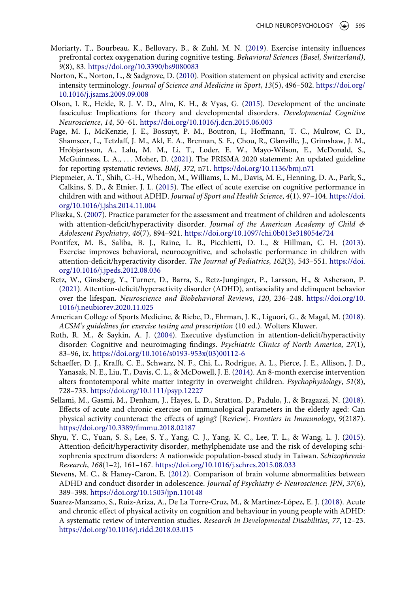- <span id="page-27-14"></span>Moriarty, T., Bourbeau, K., Bellovary, B., & Zuhl, M. N. [\(2019\)](#page-21-2). Exercise intensity influences prefrontal cortex oxygenation during cognitive testing. *Behavioral Sciences (Basel, Switzerland)*, *9*(8), 83. <https://doi.org/10.3390/bs9080083>
- <span id="page-27-10"></span>Norton, K., Norton, L., & Sadgrove, D. [\(2010](#page-7-0)). Position statement on physical activity and exercise intensity terminology. *Journal of Science and Medicine in Sport*, *13*(5), 496–502. [https://doi.org/](https://doi.org/10.1016/j.jsams.2009.09.008) [10.1016/j.jsams.2009.09.008](https://doi.org/10.1016/j.jsams.2009.09.008)
- <span id="page-27-13"></span>Olson, I. R., Heide, R. J. V. D., Alm, K. H., & Vyas, G. [\(2015\)](#page-21-3). Development of the uncinate fasciculus: Implications for theory and developmental disorders. *Developmental Cognitive Neuroscience*, *14*, 50–61. <https://doi.org/10.1016/j.dcn.2015.06.003>
- <span id="page-27-5"></span>Page, M. J., McKenzie, J. E., Bossuyt, P. M., Boutron, I., Hoffmann, T. C., Mulrow, C. D., Shamseer, L., Tetzlaff, J. M., Akl, E. A., Brennan, S. E., Chou, R., Glanville, J., Grimshaw, J. M., Hróbjartsson, A., Lalu, M. M., Li, T., Loder, E. W., Mayo-Wilson, E., McDonald, S., McGuinness, L. A., . . . Moher, D. [\(2021](#page-4-0)). The PRISMA 2020 statement: An updated guideline for reporting systematic reviews. *BMJ*, *372*, n71. <https://doi.org/10.1136/bmj.n71>
- <span id="page-27-8"></span>Piepmeier, A. T., Shih, C.-H., Whedon, M., Williams, L. M., Davis, M. E., Henning, D. A., Park, S., Calkins, S. D., & Etnier, J. L. ([2015](#page-6-5)). The effect of acute exercise on cognitive performance in children with and without ADHD. *Journal of Sport and Health Science*, *4*(1), 97–104. [https://doi.](https://doi.org/10.1016/j.jshs.2014.11.004) [org/10.1016/j.jshs.2014.11.004](https://doi.org/10.1016/j.jshs.2014.11.004)
- <span id="page-27-2"></span>Pliszka, S. ([2007](#page-2-11)). Practice parameter for the assessment and treatment of children and adolescents with attention-deficit/hyperactivity disorder. *Journal of the American Academy of Child & Adolescent Psychiatry*, *46*(7), 894–921. <https://doi.org/10.1097/chi.0b013e318054e724>
- <span id="page-27-9"></span>Pontifex, M. B., Saliba, B. J., Raine, L. B., Picchietti, D. L., & Hillman, C. H. [\(2013\)](#page-6-1). Exercise improves behavioral, neurocognitive, and scholastic performance in children with attention-deficit/hyperactivity disorder. *The Journal of Pediatrics*, *162*(3), 543–551. [https://doi.](https://doi.org/10.1016/j.jpeds.2012.08.036) [org/10.1016/j.jpeds.2012.08.036](https://doi.org/10.1016/j.jpeds.2012.08.036)
- <span id="page-27-0"></span>Retz, W., Ginsberg, Y., Turner, D., Barra, S., Retz-Junginger, P., Larsson, H., & Asherson, P. [\(2021\)](#page-2-12). Attention-deficit/hyperactivity disorder (ADHD), antisociality and delinquent behavior over the lifespan. *Neuroscience and Biobehavioral Reviews*, *120*, 236–248. [https://doi.org/10.](https://doi.org/10.1016/j.neubiorev.2020.11.025) [1016/j.neubiorev.2020.11.025](https://doi.org/10.1016/j.neubiorev.2020.11.025)
- <span id="page-27-6"></span>American College of Sports Medicine, & Riebe, D., Ehrman, J. K., Liguori, G., & Magal, M. [\(2018\)](#page-5-3). *ACSM's guidelines for exercise testing and prescription* (10 ed.). Wolters Kluwer.
- <span id="page-27-1"></span>Roth, R. M., & Saykin, A. J. [\(2004](#page-2-13)). Executive dysfunction in attention-deficit/hyperactivity disorder: Cognitive and neuroimaging findings. *Psychiatric Clinics of North America*, *27*(1), 83–96, ix. [https://doi.org/10.1016/s0193-953x\(03\)00112-6](https://doi.org/10.1016/s0193-953x(03)00112-6)
- <span id="page-27-12"></span>Schaeffer, D. J., Krafft, C. E., Schwarz, N. F., Chi, L., Rodrigue, A. L., Pierce, J. E., Allison, J. D., Yanasak, N. E., Liu, T., Davis, C. L., & McDowell, J. E. ([2014\)](#page-21-4). An 8-month exercise intervention alters frontotemporal white matter integrity in overweight children. *Psychophysiology*, *51*(8), 728–733. <https://doi.org/10.1111/psyp.12227>
- <span id="page-27-7"></span>Sellami, M., Gasmi, M., Denham, J., Hayes, L. D., Stratton, D., Padulo, J., & Bragazzi, N. [\(2018\)](#page-5-3). Effects of acute and chronic exercise on immunological parameters in the elderly aged: Can physical activity counteract the effects of aging? [Review]. *Frontiers in Immunology*, *9*(2187). <https://doi.org/10.3389/fimmu.2018.02187>
- <span id="page-27-3"></span>Shyu, Y. C., Yuan, S. S., Lee, S. Y., Yang, C. J., Yang, K. C., Lee, T. L., & Wang, L. J. [\(2015\)](#page-2-3). Attention-deficit/hyperactivity disorder, methylphenidate use and the risk of developing schizophrenia spectrum disorders: A nationwide population-based study in Taiwan. *Schizophrenia Research*, *168*(1–2), 161–167. <https://doi.org/10.1016/j.schres.2015.08.033>
- <span id="page-27-11"></span>Stevens, M. C., & Haney-Caron, E. ([2012](#page-21-5)). Comparison of brain volume abnormalities between ADHD and conduct disorder in adolescence. *Journal of Psychiatry & Neuroscience: JPN*, *37*(6), 389–398. <https://doi.org/10.1503/jpn.110148>
- <span id="page-27-4"></span>Suarez-Manzano, S., Ruiz-Ariza, A., De La Torre-Cruz, M., & Martínez-López, E. J. ([2018\)](#page-3-6). Acute and chronic effect of physical activity on cognition and behaviour in young people with ADHD: A systematic review of intervention studies. *Research in Developmental Disabilities*, *77*, 12–23. <https://doi.org/10.1016/j.ridd.2018.03.015>